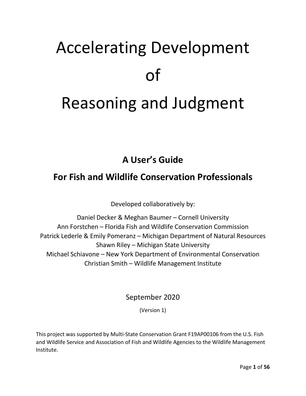# Accelerating Development of Reasoning and Judgment

# **A User's Guide**

# **For Fish and Wildlife Conservation Professionals**

Developed collaboratively by:

Daniel Decker & Meghan Baumer – Cornell University Ann Forstchen – Florida Fish and Wildlife Conservation Commission Patrick Lederle & Emily Pomeranz – Michigan Department of Natural Resources Shawn Riley – Michigan State University Michael Schiavone – New York Department of Environmental Conservation Christian Smith – Wildlife Management Institute

September 2020

(Version 1)

This project was supported by Multi-State Conservation Grant F19AP00106 from the U.S. Fish and Wildlife Service and Association of Fish and Wildlife Agencies to the Wildlife Management Institute.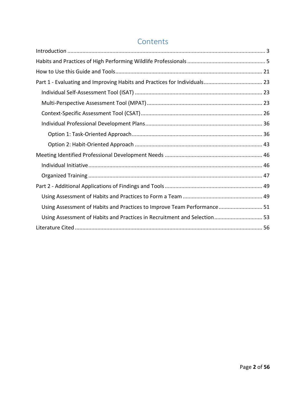# **Contents**

| Using Assessment of Habits and Practices to Improve Team Performance 51  |  |
|--------------------------------------------------------------------------|--|
| Using Assessment of Habits and Practices in Recruitment and Selection 53 |  |
|                                                                          |  |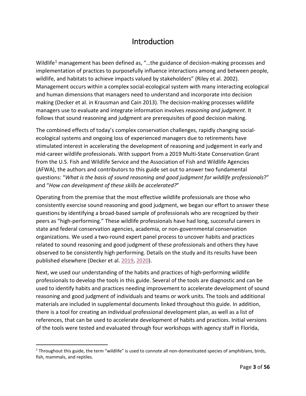# Introduction

<span id="page-2-0"></span>Wildlife<sup>[1](#page-2-1)</sup> management has been defined as, "...the guidance of decision-making processes and implementation of practices to purposefully influence interactions among and between people, wildlife, and habitats to achieve impacts valued by stakeholders" (Riley et al. 2002). Management occurs within a complex social-ecological system with many interacting ecological and human dimensions that managers need to understand and incorporate into decision making (Decker et al. in Krausman and Cain 2013). The decision-making processes wildlife managers use to evaluate and integrate information involves *reasoning and judgment*. It follows that sound reasoning and judgment are prerequisites of good decision making.

The combined effects of today's complex conservation challenges, rapidly changing socialecological systems and ongoing loss of experienced managers due to retirements have stimulated interest in accelerating the development of reasoning and judgement in early and mid-career wildlife professionals. With support from a 2019 Multi-State Conservation Grant from the U.S. Fish and Wildlife Service and the Association of Fish and Wildlife Agencies (AFWA), the authors and contributors to this guide set out to answer two fundamental questions: "*What is the basis of sound reasoning and good judgment for wildlife professionals*?" and "*How can development of these skills be accelerated?*"

Operating from the premise that the most effective wildlife professionals are those who consistently exercise sound reasoning and good judgment, we began our effort to answer these questions by identifying a broad-based sample of professionals who are recognized by their peers as "high-performing." These wildlife professionals have had long, successful careers in state and federal conservation agencies, academia, or non-governmental conservation organizations. We used a two-round expert panel process to uncover habits and practices related to sound reasoning and good judgment of these professionals and others they have observed to be consistently high performing. Details on the study and its results have been published elsewhere (Decker et al. [2019,](https://ecommons.cornell.edu/bitstream/handle/1813/69577/Habits%20and%20practices%20of%20effective%20fish%20and%20wildlife%20professionals%20CCSS%20Report%2019-3%20%20Jan%202020.pdf?sequence=2&isAllowed=y) [2020\)](https://ecommons.cornell.edu/bitstream/handle/1813/69575/TWP_14.1_What-Makes-a-Wildlifer-Stand-out-from-the-Rest_Decker-et-al.pdf?sequence=2&isAllowed=y).

Next, we used our understanding of the habits and practices of high-performing wildlife professionals to develop the tools in this guide. Several of the tools are diagnostic and can be used to identify habits and practices needing improvement to accelerate development of sound reasoning and good judgment of individuals and teams or work units. The tools and additional materials are included in supplemental documents linked throughout this guide. In addition, there is a tool for creating an individual professional development plan, as well as a list of references, that can be used to accelerate development of habits and practices. Initial versions of the tools were tested and evaluated through four workshops with agency staff in Florida,

<span id="page-2-1"></span> $1$  Throughout this guide, the term "wildlife" is used to connote all non-domesticated species of amphibians, birds, fish, mammals, and reptiles.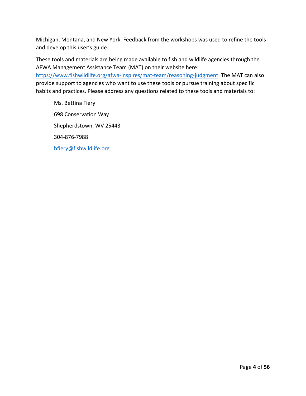Michigan, Montana, and New York. Feedback from the workshops was used to refine the tools and develop this user's guide.

These tools and materials are being made available to fish and wildlife agencies through the AFWA Management Assistance Team (MAT) on their website here: [https://www.fishwildlife.org/afwa-inspires/mat-team/reasoning-judgment.](https://www.fishwildlife.org/afwa-inspires/mat-team/reasoning-judgment) The MAT can also provide support to agencies who want to use these tools or pursue training about specific habits and practices. Please address any questions related to these tools and materials to:

Ms. Bettina Fiery 698 Conservation Way Shepherdstown, WV 25443 304-876-7988 [bfiery@fishwildlife.org](mailto:bfiery@fishwildlife.org)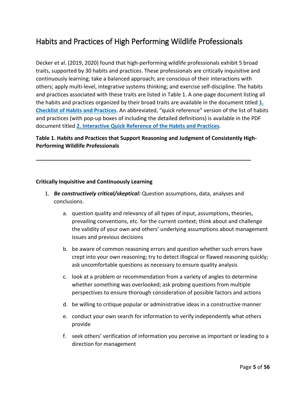# <span id="page-4-0"></span>Habits and Practices of High Performing Wildlife Professionals

Decker et al. (2019, 2020) found that high-performing wildlife professionals exhibit 5 broad traits, supported by 30 habits and practices. These professionals are critically inquisitive and continuously learning; take a balanced approach; are conscious of their interactions with others; apply multi-level, integrative systems thinking; and exercise self-discipline. The habits and practices associated with these traits are listed in Table 1. A one-page document listing all the habits and practices organized by their broad traits are available in the document titled **[1.](https://www.fishwildlife.org/download_file/view/2926/3039)  [Checklist of Habits and Practices](https://www.fishwildlife.org/download_file/view/2926/3039)**. An abbreviated, "quick reference" version of the list of habits and practices (with pop-up boxes of including the detailed definitions) is available in the PDF document titled **[2. Interactive Quick Reference of the Habits and Practices](https://www.fishwildlife.org/download_file/view/2927/3039)**.

#### **Table 1. Habits and Practices that Support Reasoning and Judgment of Consistently High-Performing Wildlife Professionals**

**\_\_\_\_\_\_\_\_\_\_\_\_\_\_\_\_\_\_\_\_\_\_\_\_\_\_\_\_\_\_\_\_\_\_\_\_\_\_\_\_\_\_\_\_\_\_\_\_\_\_\_\_\_\_\_\_\_\_\_\_\_\_\_\_\_\_\_\_\_\_\_\_**

#### **Critically Inquisitive and Continuously Learning**

- 1. *Be constructively critical/skeptical:* Question assumptions, data, analyses and conclusions.
	- a. question quality and relevancy of all types of input, assumptions, theories, prevailing conventions, etc. for the current context; think about and challenge the validity of your own and others' underlying assumptions about management issues and previous decisions
	- b. be aware of common reasoning errors and question whether such errors have crept into your own reasoning; try to detect illogical or flawed reasoning quickly; ask uncomfortable questions as necessary to ensure quality analysis
	- c. look at a problem or recommendation from a variety of angles to determine whether something was overlooked; ask probing questions from multiple perspectives to ensure thorough consideration of possible factors and actions
	- d. be willing to critique popular or administrative ideas in a constructive manner
	- e. conduct your own search for information to verify independently what others provide
	- f. seek others' verification of information you perceive as important or leading to a direction for management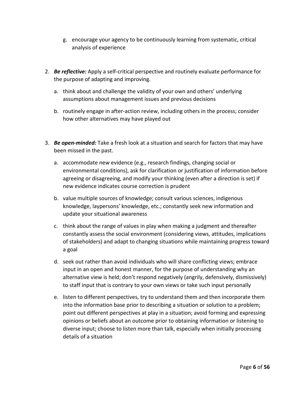- g. encourage your agency to be continuously learning from systematic, critical analysis of experience
- 2. *Be reflective:* Apply a self-critical perspective and routinely evaluate performance for the purpose of adapting and improving.
	- a. think about and challenge the validity of your own and others' underlying assumptions about management issues and previous decisions
	- b. routinely engage in after-action review, including others in the process; consider how other alternatives may have played out
- 3. *Be open-minded:* Take a fresh look at a situation and search for factors that may have been missed in the past.
	- a. accommodate new evidence (e.g., research findings, changing social or environmental conditions), ask for clarification or justification of information before agreeing or disagreeing, and modify your thinking (even after a direction is set) if new evidence indicates course correction is prudent
	- b. value multiple sources of knowledge; consult various sciences, indigenous knowledge, laypersons' knowledge, etc.; constantly seek new information and update your situational awareness
	- c. think about the range of values in play when making a judgment and thereafter constantly assess the social environment (considering views, attitudes, implications of stakeholders) and adapt to changing situations while maintaining progress toward a goal
	- d. seek out rather than avoid individuals who will share conflicting views; embrace input in an open and honest manner, for the purpose of understanding why an alternative view is held; don't respond negatively (angrily, defensively, dismissively) to staff input that is contrary to your own views or take such input personally
	- e. listen to different perspectives, try to understand them and then incorporate them into the information base prior to describing a situation or solution to a problem; point out different perspectives at play in a situation; avoid forming and expressing opinions or beliefs about an outcome prior to obtaining information or listening to diverse input; choose to listen more than talk, especially when initially processing details of a situation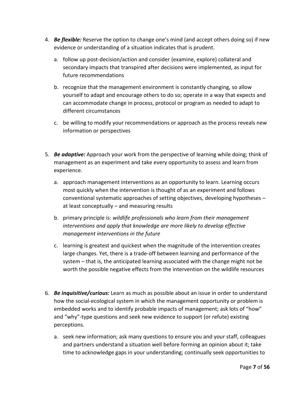- 4. *Be flexible:* Reserve the option to change one's mind (and accept others doing so) if new evidence or understanding of a situation indicates that is prudent.
	- a. follow up post-decision/action and consider (examine, explore) collateral and secondary impacts that transpired after decisions were implemented, as input for future recommendations
	- b. recognize that the management environment is constantly changing, so allow yourself to adapt and encourage others to do so; operate in a way that expects and can accommodate change in process, protocol or program as needed to adapt to different circumstances
	- c. be willing to modify your recommendations or approach as the process reveals new information or perspectives
- 5. *Be adaptive:* Approach your work from the perspective of learning while doing; think of management as an experiment and take every opportunity to assess and learn from experience.
	- a. approach management interventions as an opportunity to learn. Learning occurs most quickly when the intervention is thought of as an experiment and follows conventional systematic approaches of setting objectives, developing hypotheses – at least conceptually – and measuring results
	- b. primary principle is: *wildlife professionals who learn from their management interventions and apply that knowledge are more likely to develop effective management interventions in the future*
	- c. learning is greatest and quickest when the magnitude of the intervention creates large changes. Yet, there is a trade-off between learning and performance of the system – that is, the anticipated learning associated with the change might not be worth the possible negative effects from the intervention on the wildlife resources
- 6. *Be inquisitive/curious:* Learn as much as possible about an issue in order to understand how the social-ecological system in which the management opportunity or problem is embedded works and to identify probable impacts of management; ask lots of "how" and "why"-type questions and seek new evidence to support (or refute) existing perceptions.
	- a. seek new information; ask many questions to ensure you and your staff, colleagues and partners understand a situation well before forming an opinion about it; take time to acknowledge gaps in your understanding; continually seek opportunities to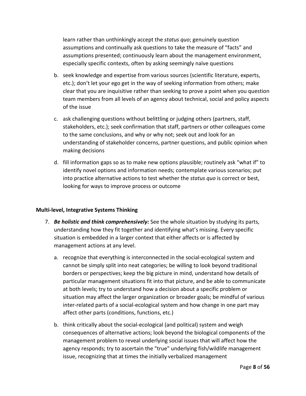learn rather than unthinkingly accept the *status quo*; genuinely question assumptions and continually ask questions to take the measure of "facts" and assumptions presented; continuously learn about the management environment, especially specific contexts, often by asking seemingly naïve questions

- b. seek knowledge and expertise from various sources (scientific literature, experts, etc.); don't let your ego get in the way of seeking information from others; make clear that you are inquisitive rather than seeking to prove a point when you question team members from all levels of an agency about technical, social and policy aspects of the issue
- c. ask challenging questions without belittling or judging others (partners, staff, stakeholders, etc.); seek confirmation that staff, partners or other colleagues come to the same conclusions, and why or why not; seek out and look for an understanding of stakeholder concerns, partner questions, and public opinion when making decisions
- d. fill information gaps so as to make new options plausible; routinely ask "what if" to identify novel options and information needs; contemplate various scenarios; put into practice alternative actions to test whether the *status quo* is correct or best, looking for ways to improve process or outcome

#### **Multi-level, Integrative Systems Thinking**

- 7. *Be holistic and think comprehensively:* See the whole situation by studying its parts, understanding how they fit together and identifying what's missing. Every specific situation is embedded in a larger context that either affects or is affected by management actions at any level.
	- a. recognize that everything is interconnected in the social-ecological system and cannot be simply split into neat categories; be willing to look beyond traditional borders or perspectives; keep the big picture in mind, understand how details of particular management situations fit into that picture, and be able to communicate at both levels; try to understand how a decision about a specific problem or situation may affect the larger organization or broader goals; be mindful of various inter-related parts of a social-ecological system and how change in one part may affect other parts (conditions, functions, etc.)
	- b. think critically about the social-ecological (and political) system and weigh consequences of alternative actions; look beyond the biological components of the management problem to reveal underlying social issues that will affect how the agency responds; try to ascertain the "true" underlying fish/wildlife management issue, recognizing that at times the initially verbalized management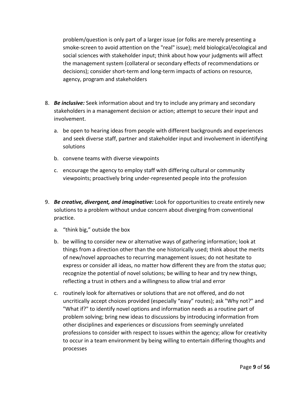problem/question is only part of a larger issue (or folks are merely presenting a smoke-screen to avoid attention on the "real" issue); meld biological/ecological and social sciences with stakeholder input; think about how your judgments will affect the management system (collateral or secondary effects of recommendations or decisions); consider short-term and long-term impacts of actions on resource, agency, program and stakeholders

- 8. *Be inclusive:* Seek information about and try to include any primary and secondary stakeholders in a management decision or action; attempt to secure their input and involvement.
	- a. be open to hearing ideas from people with different backgrounds and experiences and seek diverse staff, partner and stakeholder input and involvement in identifying solutions
	- b. convene teams with diverse viewpoints
	- c. encourage the agency to employ staff with differing cultural or community viewpoints; proactively bring under-represented people into the profession
- 9. *Be creative, divergent, and imaginative:* Look for opportunities to create entirely new solutions to a problem without undue concern about diverging from conventional practice.
	- a. "think big," outside the box
	- b. be willing to consider new or alternative ways of gathering information; look at things from a direction other than the one historically used; think about the merits of new/novel approaches to recurring management issues; do not hesitate to express or consider all ideas, no matter how different they are from the *status quo*; recognize the potential of novel solutions; be willing to hear and try new things, reflecting a trust in others and a willingness to allow trial and error
	- c. routinely look for alternatives or solutions that are not offered, and do not uncritically accept choices provided (especially "easy" routes); ask "Why not?" and "What if?" to identify novel options and information needs as a routine part of problem solving; bring new ideas to discussions by introducing information from other disciplines and experiences or discussions from seemingly unrelated professions to consider with respect to issues within the agency; allow for creativity to occur in a team environment by being willing to entertain differing thoughts and processes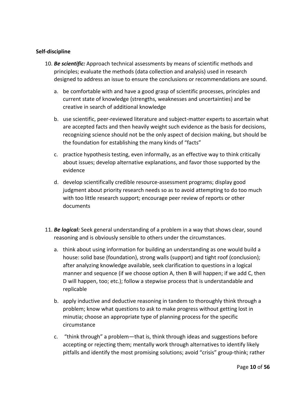#### **Self-discipline**

- 10. *Be scientific:* Approach technical assessments by means of scientific methods and principles; evaluate the methods (data collection and analysis) used in research designed to address an issue to ensure the conclusions or recommendations are sound.
	- a. be comfortable with and have a good grasp of scientific processes, principles and current state of knowledge (strengths, weaknesses and uncertainties) and be creative in search of additional knowledge
	- b. use scientific, peer-reviewed literature and subject-matter experts to ascertain what are accepted facts and then heavily weight such evidence as the basis for decisions, recognizing science should not be the only aspect of decision making, but should be the foundation for establishing the many kinds of "facts"
	- c. practice hypothesis testing, even informally, as an effective way to think critically about issues; develop alternative explanations, and favor those supported by the evidence
	- d. develop scientifically credible resource-assessment programs; display good judgment about priority research needs so as to avoid attempting to do too much with too little research support; encourage peer review of reports or other documents
- 11. *Be logical:* Seek general understanding of a problem in a way that shows clear, sound reasoning and is obviously sensible to others under the circumstances.
	- a. think about using information for building an understanding as one would build a house: solid base (foundation), strong walls (support) and tight roof (conclusion); after analyzing knowledge available, seek clarification to questions in a logical manner and sequence (if we choose option A, then B will happen; if we add C, then D will happen, too; etc.); follow a stepwise process that is understandable and replicable
	- b. apply inductive and deductive reasoning in tandem to thoroughly think through a problem; know what questions to ask to make progress without getting lost in minutia; choose an appropriate type of planning process for the specific circumstance
	- c. "think through" a problem—that is, think through ideas and suggestions before accepting or rejecting them; mentally work through alternatives to identify likely pitfalls and identify the most promising solutions; avoid "crisis" group-think; rather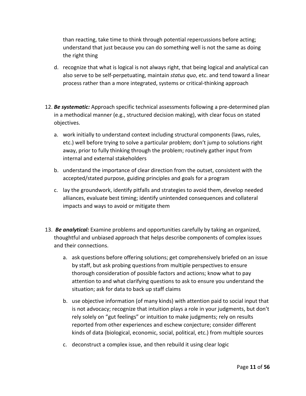than reacting, take time to think through potential repercussions before acting; understand that just because you can do something well is not the same as doing the right thing

- d. recognize that what is logical is not always right, that being logical and analytical can also serve to be self-perpetuating, maintain *status quo*, etc. and tend toward a linear process rather than a more integrated, systems or critical-thinking approach
- 12. *Be systematic:* Approach specific technical assessments following a pre-determined plan in a methodical manner (e.g., structured decision making), with clear focus on stated objectives.
	- a. work initially to understand context including structural components (laws, rules, etc.) well before trying to solve a particular problem; don't jump to solutions right away, prior to fully thinking through the problem; routinely gather input from internal and external stakeholders
	- b. understand the importance of clear direction from the outset, consistent with the accepted/stated purpose, guiding principles and goals for a program
	- c. lay the groundwork, identify pitfalls and strategies to avoid them, develop needed alliances, evaluate best timing; identify unintended consequences and collateral impacts and ways to avoid or mitigate them
- 13.*Be analytical:* Examine problems and opportunities carefully by taking an organized, thoughtful and unbiased approach that helps describe components of complex issues and their connections.
	- a. ask questions before offering solutions; get comprehensively briefed on an issue by staff, but ask probing questions from multiple perspectives to ensure thorough consideration of possible factors and actions; know what to pay attention to and what clarifying questions to ask to ensure you understand the situation; ask for data to back up staff claims
	- b. use objective information (of many kinds) with attention paid to social input that is not advocacy; recognize that intuition plays a role in your judgments, but don't rely solely on "gut feelings" or intuition to make judgments; rely on results reported from other experiences and eschew conjecture; consider different kinds of data (biological, economic, social, political, etc.) from multiple sources
	- c. deconstruct a complex issue, and then rebuild it using clear logic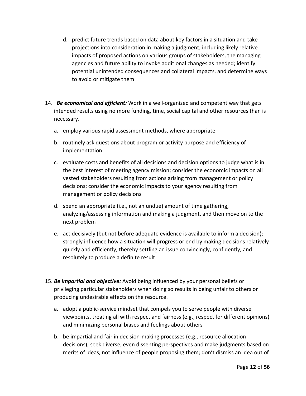- d. predict future trends based on data about key factors in a situation and take projections into consideration in making a judgment, including likely relative impacts of proposed actions on various groups of stakeholders, the managing agencies and future ability to invoke additional changes as needed; identify potential unintended consequences and collateral impacts, and determine ways to avoid or mitigate them
- 14.*Be economical and efficient:* Work in a well-organized and competent way that gets intended results using no more funding, time, social capital and other resources than is necessary.
	- a. employ various rapid assessment methods, where appropriate
	- b. routinely ask questions about program or activity purpose and efficiency of implementation
	- c. evaluate costs and benefits of all decisions and decision options to judge what is in the best interest of meeting agency mission; consider the economic impacts on all vested stakeholders resulting from actions arising from management or policy decisions; consider the economic impacts to your agency resulting from management or policy decisions
	- d. spend an appropriate (i.e., not an undue) amount of time gathering, analyzing/assessing information and making a judgment, and then move on to the next problem
	- e. act decisively (but not before adequate evidence is available to inform a decision); strongly influence how a situation will progress or end by making decisions relatively quickly and efficiently, thereby settling an issue convincingly, confidently, and resolutely to produce a definite result
- 15. *Be impartial and objective:* Avoid being influenced by your personal beliefs or privileging particular stakeholders when doing so results in being unfair to others or producing undesirable effects on the resource.
	- a. adopt a public-service mindset that compels you to serve people with diverse viewpoints, treating all with respect and fairness (e.g., respect for different opinions) and minimizing personal biases and feelings about others
	- b. be impartial and fair in decision-making processes (e.g., resource allocation decisions); seek diverse, even dissenting perspectives and make judgments based on merits of ideas, not influence of people proposing them; don't dismiss an idea out of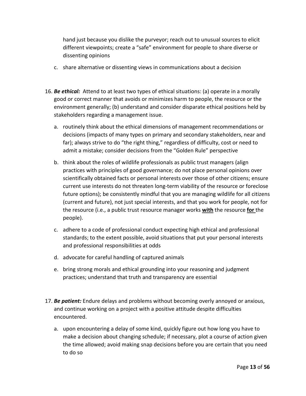hand just because you dislike the purveyor; reach out to unusual sources to elicit different viewpoints; create a "safe" environment for people to share diverse or dissenting opinions

- c. share alternative or dissenting views in communications about a decision
- 16. *Be ethical:* Attend to at least two types of ethical situations: (a) operate in a morally good or correct manner that avoids or minimizes harm to people, the resource or the environment generally; (b) understand and consider disparate ethical positions held by stakeholders regarding a management issue.
	- a. routinely think about the ethical dimensions of management recommendations or decisions (impacts of many types on primary and secondary stakeholders, near and far); always strive to do "the right thing," regardless of difficulty, cost or need to admit a mistake; consider decisions from the "Golden Rule" perspective
	- b. think about the roles of wildlife professionals as public trust managers (align practices with principles of good governance; do not place personal opinions over scientifically obtained facts or personal interests over those of other citizens; ensure current use interests do not threaten long-term viability of the resource or foreclose future options); be consistently mindful that you are managing wildlife for all citizens (current and future), not just special interests, and that you work for people, not for the resource (i.e., a public trust resource manager works **with** the resource **for** the people).
	- c. adhere to a code of professional conduct expecting high ethical and professional standards; to the extent possible, avoid situations that put your personal interests and professional responsibilities at odds
	- d. advocate for careful handling of captured animals
	- e. bring strong morals and ethical grounding into your reasoning and judgment practices; understand that truth and transparency are essential
- 17. *Be patient:* Endure delays and problems without becoming overly annoyed or anxious, and continue working on a project with a positive attitude despite difficulties encountered.
	- a. upon encountering a delay of some kind, quickly figure out how long you have to make a decision about changing schedule; if necessary, plot a course of action given the time allowed; avoid making snap decisions before you are certain that you need to do so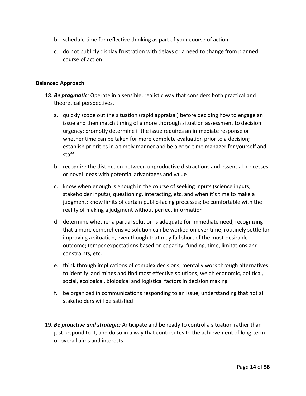- b. schedule time for reflective thinking as part of your course of action
- c. do not publicly display frustration with delays or a need to change from planned course of action

#### **Balanced Approach**

- 18. *Be pragmatic:* Operate in a sensible, realistic way that considers both practical and theoretical perspectives.
	- a. quickly scope out the situation (rapid appraisal) before deciding how to engage an issue and then match timing of a more thorough situation assessment to decision urgency; promptly determine if the issue requires an immediate response or whether time can be taken for more complete evaluation prior to a decision; establish priorities in a timely manner and be a good time manager for yourself and staff
	- b. recognize the distinction between unproductive distractions and essential processes or novel ideas with potential advantages and value
	- c. know when enough is enough in the course of seeking inputs (science inputs, stakeholder inputs), questioning, interacting, etc. and when it's time to make a judgment; know limits of certain public-facing processes; be comfortable with the reality of making a judgment without perfect information
	- d. determine whether a partial solution is adequate for immediate need, recognizing that a more comprehensive solution can be worked on over time; routinely settle for improving a situation, even though that may fall short of the most-desirable outcome; temper expectations based on capacity, funding, time, limitations and constraints, etc.
	- e. think through implications of complex decisions; mentally work through alternatives to identify land mines and find most effective solutions; weigh economic, political, social, ecological, biological and logistical factors in decision making
	- f. be organized in communications responding to an issue, understanding that not all stakeholders will be satisfied
- 19. *Be proactive and strategic:* Anticipate and be ready to control a situation rather than just respond to it, and do so in a way that contributes to the achievement of long-term or overall aims and interests.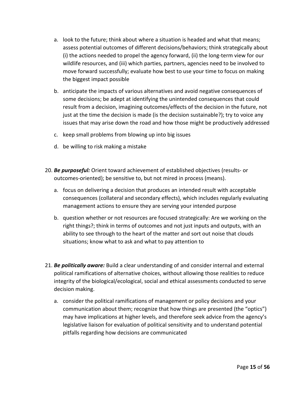- a. look to the future; think about where a situation is headed and what that means; assess potential outcomes of different decisions/behaviors; think strategically about (i) the actions needed to propel the agency forward, (ii) the long-term view for our wildlife resources, and (iii) which parties, partners, agencies need to be involved to move forward successfully; evaluate how best to use your time to focus on making the biggest impact possible
- b. anticipate the impacts of various alternatives and avoid negative consequences of some decisions; be adept at identifying the unintended consequences that could result from a decision, imagining outcomes/effects of the decision in the future, not just at the time the decision is made (is the decision sustainable?); try to voice any issues that may arise down the road and how those might be productively addressed
- c. keep small problems from blowing up into big issues
- d. be willing to risk making a mistake
- 20. *Be purposeful:* Orient toward achievement of established objectives (results- or outcomes-oriented); be sensitive to, but not mired in process (means).
	- a. focus on delivering a decision that produces an intended result with acceptable consequences (collateral and secondary effects), which includes regularly evaluating management actions to ensure they are serving your intended purpose
	- b. question whether or not resources are focused strategically: Are we working on the right things?; think in terms of outcomes and not just inputs and outputs, with an ability to see through to the heart of the matter and sort out noise that clouds situations; know what to ask and what to pay attention to
- 21. *Be politically aware:* Build a clear understanding of and consider internal and external political ramifications of alternative choices, without allowing those realities to reduce integrity of the biological/ecological, social and ethical assessments conducted to serve decision making.
	- a. consider the political ramifications of management or policy decisions and your communication about them; recognize that how things are presented (the "optics") may have implications at higher levels, and therefore seek advice from the agency's legislative liaison for evaluation of political sensitivity and to understand potential pitfalls regarding how decisions are communicated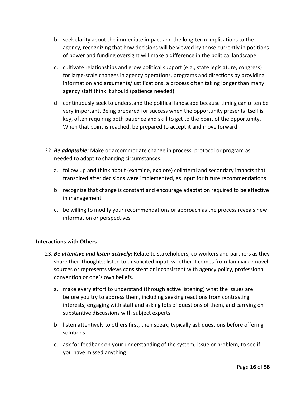- b. seek clarity about the immediate impact and the long-term implications to the agency, recognizing that how decisions will be viewed by those currently in positions of power and funding oversight will make a difference in the political landscape
- c. cultivate relationships and grow political support (e.g., state legislature, congress) for large-scale changes in agency operations, programs and directions by providing information and arguments/justifications, a process often taking longer than many agency staff think it should (patience needed)
- d. continuously seek to understand the political landscape because timing can often be very important. Being prepared for success when the opportunity presents itself is key, often requiring both patience and skill to get to the point of the opportunity. When that point is reached, be prepared to accept it and move forward
- 22. *Be adaptable:* Make or accommodate change in process, protocol or program as needed to adapt to changing circumstances.
	- a. follow up and think about (examine, explore) collateral and secondary impacts that transpired after decisions were implemented, as input for future recommendations
	- b. recognize that change is constant and encourage adaptation required to be effective in management
	- c. be willing to modify your recommendations or approach as the process reveals new information or perspectives

#### **Interactions with Others**

- 23. *Be attentive and listen actively:* Relate to stakeholders, co-workers and partners as they share their thoughts; listen to unsolicited input, whether it comes from familiar or novel sources or represents views consistent or inconsistent with agency policy, professional convention or one's own beliefs.
	- a. make every effort to understand (through active listening) what the issues are before you try to address them, including seeking reactions from contrasting interests, engaging with staff and asking lots of questions of them, and carrying on substantive discussions with subject experts
	- b. listen attentively to others first, then speak; typically ask questions before offering solutions
	- c. ask for feedback on your understanding of the system, issue or problem, to see if you have missed anything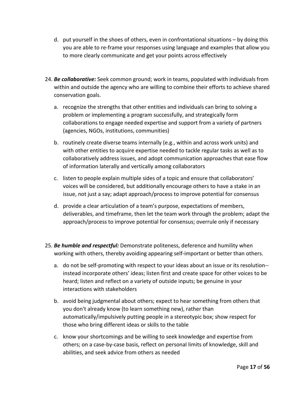- d. put yourself in the shoes of others, even in confrontational situations by doing this you are able to re-frame your responses using language and examples that allow you to more clearly communicate and get your points across effectively
- 24. *Be collaborative:* Seek common ground; work in teams, populated with individuals from within and outside the agency who are willing to combine their efforts to achieve shared conservation goals.
	- a. recognize the strengths that other entities and individuals can bring to solving a problem or implementing a program successfully, and strategically form collaborations to engage needed expertise and support from a variety of partners (agencies, NGOs, institutions, communities)
	- b. routinely create diverse teams internally (e.g., within and across work units) and with other entities to acquire expertise needed to tackle regular tasks as well as to collaboratively address issues, and adopt communication approaches that ease flow of information laterally and vertically among collaborators
	- c. listen to people explain multiple sides of a topic and ensure that collaborators' voices will be considered, but additionally encourage others to have a stake in an issue, not just a say; adapt approach/process to improve potential for consensus
	- d. provide a clear articulation of a team's purpose, expectations of members, deliverables, and timeframe, then let the team work through the problem; adapt the approach/process to improve potential for consensus; overrule only if necessary
- 25. *Be humble and respectful:* Demonstrate politeness, deference and humility when working with others, thereby avoiding appearing self-important or better than others.
	- a. do not be self-promoting with respect to your ideas about an issue or its resolution- instead incorporate others' ideas; listen first and create space for other voices to be heard; listen and reflect on a variety of outside inputs; be genuine in your interactions with stakeholders
	- b. avoid being judgmental about others; expect to hear something from others that you don't already know (to learn something new), rather than automatically/impulsively putting people in a stereotypic box; show respect for those who bring different ideas or skills to the table
	- c. know your shortcomings and be willing to seek knowledge and expertise from others; on a case-by-case basis, reflect on personal limits of knowledge, skill and abilities, and seek advice from others as needed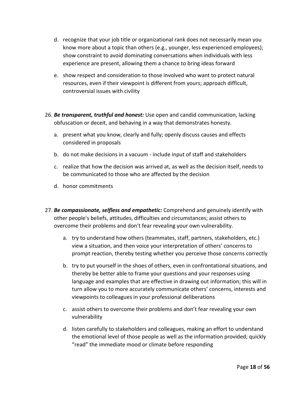- d. recognize that your job title or organizational rank does not necessarily mean you know more about a topic than others (e.g., younger, less experienced employees); show constraint to avoid dominating conversations when individuals with less experience are present, allowing them a chance to bring ideas forward
- e. show respect and consideration to those involved who want to protect natural resources, even if their viewpoint is different from yours; approach difficult, controversial issues with civility
- 26. *Be transparent, truthful and honest:* Use open and candid communication, lacking obfuscation or deceit, and behaving in a way that demonstrates honesty.
	- a. present what you know, clearly and fully; openly discuss causes and effects considered in proposals
	- b. do not make decisions in a vacuum include input of staff and stakeholders
	- c. realize that how the decision was arrived at, as well as the decision itself, needs to be communicated to those who are affected by the decision
	- d. honor commitments
- 27. *Be compassionate, selfless and empathetic:* Comprehend and genuinely identify with other people's beliefs, attitudes, difficulties and circumstances; assist others to overcome their problems and don't fear revealing your own vulnerability.
	- a. try to understand how others (teammates, staff, partners, stakeholders, etc.) view a situation, and then voice your interpretation of others' concerns to prompt reaction, thereby testing whether you perceive those concerns correctly
	- b. try to put yourself in the shoes of others, even in confrontational situations, and thereby be better able to frame your questions and your responses using language and examples that are effective in drawing out information; this will in turn allow you to more accurately communicate others' concerns, interests and viewpoints to colleagues in your professional deliberations
	- c. assist others to overcome their problems and don't fear revealing your own vulnerability
	- d. listen carefully to stakeholders and colleagues, making an effort to understand the emotional level of those people as well as the information provided; quickly "read" the immediate mood or climate before responding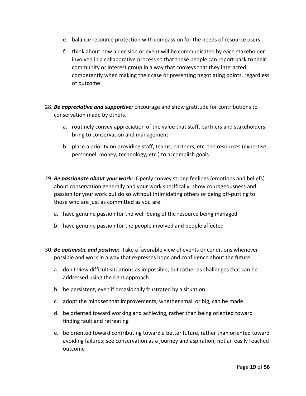- e. balance resource protection with compassion for the needs of resource users
- f. think about how a decision or event will be communicated by each stakeholder involved in a collaborative process so that those people can report back to their community or interest group in a way that conveys that they interacted competently when making their case or presenting negotiating points, regardless of outcome
- 28. *Be appreciative and supportive:* Encourage and show gratitude for contributions to conservation made by others.
	- a. routinely convey appreciation of the value that staff, partners and stakeholders bring to conservation and management
	- b. place a priority on providing staff, teams, partners, etc. the resources (expertise, personnel, money, technology, etc.) to accomplish goals
- 29. *Be passionate about your work:* Openly convey strong feelings (emotions and beliefs) about conservation generally and your work specifically; show courageousness and passion for your work but do so without intimidating others or being off-putting to those who are just as committed as you are.
	- a. have genuine passion for the well-being of the resource being managed
	- b. have genuine passion for the people involved and people affected
- 30. *Be optimistic and positive:* Take a favorable view of events or conditions whenever possible and work in a way that expresses hope and confidence about the future.
	- a. don't view difficult situations as impossible, but rather as challenges that can be addressed using the right approach
	- b. be persistent, even if occasionally frustrated by a situation
	- c. adopt the mindset that improvements, whether small or big, can be made
	- d. be oriented toward working and achieving, rather than being oriented toward finding fault and retreating
	- e. be oriented toward contributing toward a better future, rather than oriented toward avoiding failures; see conservation as a journey and aspiration, not an easily reached outcome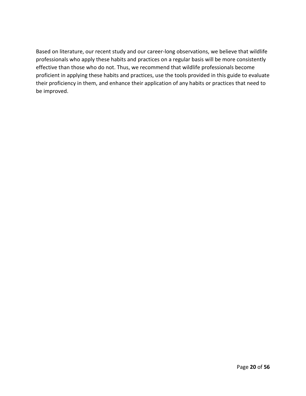Based on literature, our recent study and our career-long observations, we believe that wildlife professionals who apply these habits and practices on a regular basis will be more consistently effective than those who do not. Thus, we recommend that wildlife professionals become proficient in applying these habits and practices, use the tools provided in this guide to evaluate their proficiency in them, and enhance their application of any habits or practices that need to be improved.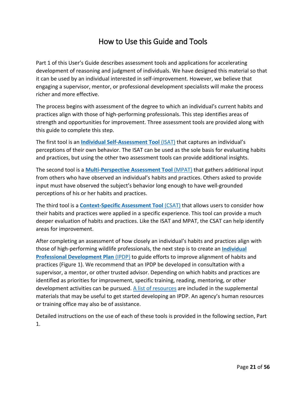# How to Use this Guide and Tools

<span id="page-20-0"></span>Part 1 of this User's Guide describes assessment tools and applications for accelerating development of reasoning and judgment of individuals. We have designed this material so that it can be used by an individual interested in self-improvement. However, we believe that engaging a supervisor, mentor, or professional development specialists will make the process richer and more effective.

The process begins with assessment of the degree to which an individual's current habits and practices align with those of high-performing professionals. This step identifies areas of strength and opportunities for improvement. Three assessment tools are provided along with this guide to complete this step.

The first tool is an **[Individual Self-Assessment Tool](#page-22-1)** (ISAT) that captures an individual's perceptions of their own behavior. The ISAT can be used as the sole basis for evaluating habits and practices, but using the other two assessment tools can provide additional insights.

The second tool is a **[Multi-Perspective Assessment Tool](#page-22-2)** (MPAT) that gathers additional input from others who have observed an individual's habits and practices. Others asked to provide input must have observed the subject's behavior long enough to have well-grounded perceptions of his or her habits and practices.

The third tool is a **[Context-Specific Assessment Tool](#page-25-0)** (CSAT) that allows users to consider how their habits and practices were applied in a specific experience. This tool can provide a much deeper evaluation of habits and practices. Like the ISAT and MPAT, the CSAT can help identify areas for improvement.

After completing an assessment of how closely an individual's habits and practices align with those of high-performing wildlife professionals, the next step is to create an **[Individual](#page-35-0)  [Professional Development Plan](#page-35-0)** (IPDP) to guide efforts to improve alignment of habits and practices (Figure 1). We recommend that an IPDP be developed in consultation with a supervisor, a mentor, or other trusted advisor. Depending on which habits and practices are identified as priorities for improvement, specific training, reading, mentoring, or other development activities can be pursued. A [list of resources](#page-48-0) are included in the supplemental materials that may be useful to get started developing an IPDP. An agency's human resources or training office may also be of assistance.

Detailed instructions on the use of each of these tools is provided in the following section, Part 1.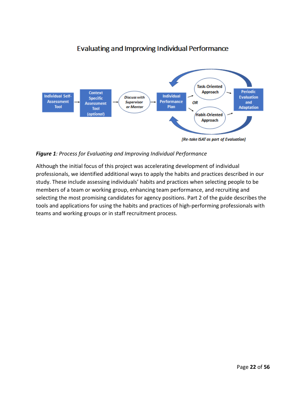# **Evaluating and Improving Individual Performance**



#### *Figure 1: Process for Evaluating and Improving Individual Performance*

Although the initial focus of this project was accelerating development of individual professionals, we identified additional ways to apply the habits and practices described in our study. These include assessing individuals' habits and practices when selecting people to be members of a team or working group, enhancing team performance, and recruiting and selecting the most promising candidates for agency positions. Part 2 of the guide describes the tools and applications for using the habits and practices of high-performing professionals with teams and working groups or in staff recruitment process.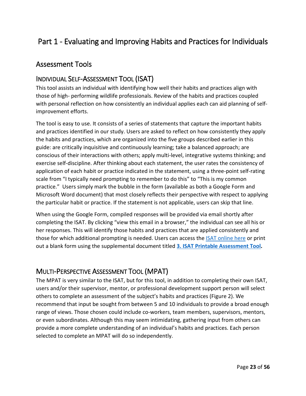# <span id="page-22-0"></span>Part 1 - Evaluating and Improving Habits and Practices for Individuals

## Assessment Tools

## <span id="page-22-1"></span>INDIVIDUAL SELF-ASSESSMENT TOOL (ISAT)

This tool assists an individual with identifying how well their habits and practices align with those of high- performing wildlife professionals. Review of the habits and practices coupled with personal reflection on how consistently an individual applies each can aid planning of selfimprovement efforts.

The tool is easy to use. It consists of a series of statements that capture the important habits and practices identified in our study. Users are asked to reflect on how consistently they apply the habits and practices, which are organized into the five groups described earlier in this guide: are critically inquisitive and continuously learning; take a balanced approach; are conscious of their interactions with others; apply multi-level, integrative systems thinking; and exercise self-discipline. After thinking about each statement, the user rates the consistency of application of each habit or practice indicated in the statement, using a three-point self-rating scale from "I typically need prompting to remember to do this" to "This is my common practice." Users simply mark the bubble in the form (available as both a Google Form and Microsoft Word document) that most closely reflects their perspective with respect to applying the particular habit or practice. If the statement is not applicable, users can skip that line.

When using the Google Form, compiled responses will be provided via email shortly after completing the ISAT. By clicking "view this email in a browser," the individual can see all his or her responses. This will identify those habits and practices that are applied consistently and those for which additional prompting is needed. Users can access the [ISAT online here](https://docs.google.com/forms/d/e/1FAIpQLSe2xuFAsypOvf_J5xlOz94aakZ2ArRhcHURvFpQkzYiHIKMHA/viewform) or print out a blank form using the supplemental document titled **3. [ISAT Printable Assessment Tool.](https://www.fishwildlife.org/application/files/9416/0677/6978/3._ISAT_Printable_Assessment_Tool.pdf)**

## <span id="page-22-2"></span>MULTI-PERSPECTIVE ASSESSMENT TOOL (MPAT)

The MPAT is very similar to the ISAT, but for this tool, in addition to completing their own ISAT, users and/or their supervisor, mentor, or professional development support person will select others to complete an assessment of the subject's habits and practices (Figure 2). We recommend that input be sought from between 5 and 10 individuals to provide a broad enough range of views. Those chosen could include co-workers, team members, supervisors, mentors, or even subordinates. Although this may seem intimidating, gathering input from others can provide a more complete understanding of an individual's habits and practices. Each person selected to complete an MPAT will do so independently.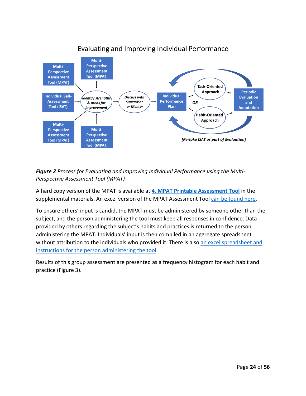

## Evaluating and Improving Individual Performance

*Figure 2 Process for Evaluating and Improving Individual Performance using the Multi-Perspective Assessment Tool (MPAT)*

A hard copy version of the MPAT is available at **[4. MPAT Printable Assessment Tool](https://www.fishwildlife.org/download_file/view/2929/3039)** in the supplemental materials. An excel version of the MPAT Assessment Tool [can be found here.](https://www.fishwildlife.org/download_file/view/2938/3039)

To ensure others' input is candid, the MPAT must be administered by someone other than the subject, and the person administering the tool must keep all responses in confidence. Data provided by others regarding the subject's habits and practices is returned to the person administering the MPAT. Individuals' input is then compiled in an aggregate spreadsheet without attribution to the individuals who provided it. There is also an [excel spreadsheet and](https://www.fishwildlife.org/download_file/view/2939/3039)  [instructions for the person administering the tool.](https://www.fishwildlife.org/download_file/view/2939/3039)

Results of this group assessment are presented as a frequency histogram for each habit and practice (Figure 3).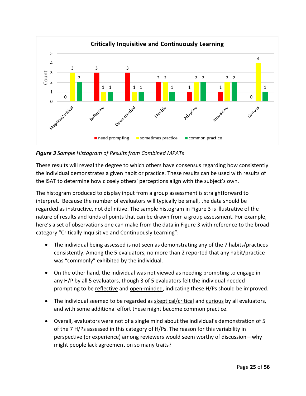

*Figure 3 Sample Histogram of Results from Combined MPATs*

These results will reveal the degree to which others have consensus regarding how consistently the individual demonstrates a given habit or practice. These results can be used with results of the ISAT to determine how closely others' perceptions align with the subject's own.

The histogram produced to display input from a group assessment is straightforward to interpret. Because the number of evaluators will typically be small, the data should be regarded as instructive, not definitive. The sample histogram in Figure 3 is illustrative of the nature of results and kinds of points that can be drawn from a group assessment. For example, here's a set of observations one can make from the data in Figure 3 with reference to the broad category "Critically Inquisitive and Continuously Learning":

- The individual being assessed is not seen as demonstrating any of the 7 habits/practices consistently. Among the 5 evaluators, no more than 2 reported that any habit/practice was "commonly" exhibited by the individual.
- On the other hand, the individual was not viewed as needing prompting to engage in any H/P by all 5 evaluators, though 3 of 5 evaluators felt the individual needed prompting to be reflective and open-minded, indicating these H/Ps should be improved.
- The individual seemed to be regarded as skeptical/critical and curious by all evaluators, and with some additional effort these might become common practice.
- Overall, evaluators were not of a single mind about the individual's demonstration of 5 of the 7 H/Ps assessed in this category of H/Ps. The reason for this variability in perspective (or experience) among reviewers would seem worthy of discussion—why might people lack agreement on so many traits?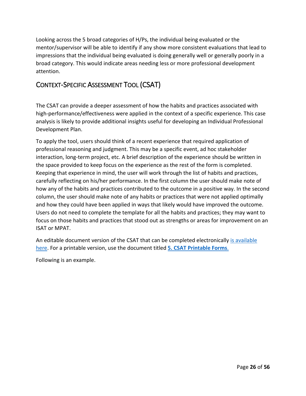Looking across the 5 broad categories of H/Ps, the individual being evaluated or the mentor/supervisor will be able to identify if any show more consistent evaluations that lead to impressions that the individual being evaluated is doing generally well or generally poorly in a broad category. This would indicate areas needing less or more professional development attention.

# <span id="page-25-0"></span>CONTEXT-SPECIFIC ASSESSMENT TOOL (CSAT)

The CSAT can provide a deeper assessment of how the habits and practices associated with high-performance/effectiveness were applied in the context of a specific experience. This case analysis is likely to provide additional insights useful for developing an Individual Professional Development Plan.

To apply the tool, users should think of a recent experience that required application of professional reasoning and judgment. This may be a specific event, ad hoc stakeholder interaction, long-term project, etc. A brief description of the experience should be written in the space provided to keep focus on the experience as the rest of the form is completed. Keeping that experience in mind, the user will work through the list of habits and practices, carefully reflecting on his/her performance. In the first column the user should make note of how any of the habits and practices contributed to the outcome in a positive way. In the second column, the user should make note of any habits or practices that were not applied optimally and how they could have been applied in ways that likely would have improved the outcome. Users do not need to complete the template for all the habits and practices; they may want to focus on those habits and practices that stood out as strengths or areas for improvement on an ISAT or MPAT.

An editable document version of the CSAT that can be completed electronically is available [here.](https://www.fishwildlife.org/download_file/view/2930/3039) For a printable version, use the document titled **5. [CSAT Printable Forms](https://www.fishwildlife.org/download_file/view/2932/3039)**.

Following is an example.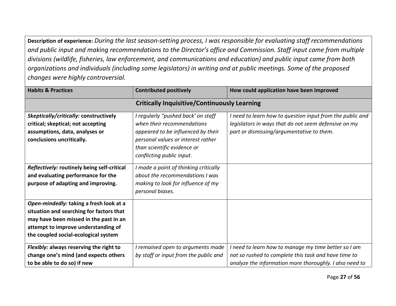**Description of experience:** *During the last season-setting process, I was responsible for evaluating staff recommendations and public input and making recommendations to the Director's office and Commission. Staff input came from multiple divisions (wildlife, fisheries, law enforcement, and communications and education) and public input came from both organizations and individuals (including some legislators) in writing and at public meetings. Some of the proposed changes were highly controversial.*

| <b>Habits &amp; Practices</b>                                                                                                                                                                                | <b>Contributed positively</b>                                                                                                                                                                            | How could application have been improved                                                                                                                              |  |  |  |
|--------------------------------------------------------------------------------------------------------------------------------------------------------------------------------------------------------------|----------------------------------------------------------------------------------------------------------------------------------------------------------------------------------------------------------|-----------------------------------------------------------------------------------------------------------------------------------------------------------------------|--|--|--|
|                                                                                                                                                                                                              | <b>Critically Inquisitive/Continuously Learning</b>                                                                                                                                                      |                                                                                                                                                                       |  |  |  |
| Skeptically/critically: constructively<br>critical; skeptical; not accepting<br>assumptions, data, analyses or<br>conclusions uncritically.                                                                  | I regularly "pushed back' on staff<br>when their recommendations<br>appeared to be influenced by their<br>personal values or interest rather<br>than scientific evidence or<br>conflicting public input. | I need to learn how to question input from the public and<br>legislators in ways that do not seem defensive on my<br>part or dismissing/argumentative to them.        |  |  |  |
| Reflectively: routinely being self-critical<br>and evaluating performance for the<br>purpose of adapting and improving.                                                                                      | I made a point of thinking critically<br>about the recommendations I was<br>making to look for influence of my<br>personal biases.                                                                       |                                                                                                                                                                       |  |  |  |
| Open-mindedly: taking a fresh look at a<br>situation and searching for factors that<br>may have been missed in the past in an<br>attempt to improve understanding of<br>the coupled social-ecological system |                                                                                                                                                                                                          |                                                                                                                                                                       |  |  |  |
| Flexibly: always reserving the right to<br>change one's mind (and expects others<br>to be able to do so) if new                                                                                              | I remained open to arguments made<br>by staff or input from the public and                                                                                                                               | need to learn how to manage my time better so I am<br>not so rushed to complete this task and have time to<br>analyze the information more thoroughly. I also need to |  |  |  |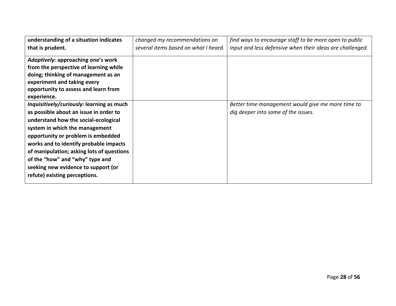| understanding of a situation indicates    | changed my recommendations on        | find ways to encourage staff to be more open to public    |
|-------------------------------------------|--------------------------------------|-----------------------------------------------------------|
| that is prudent.                          | several items based on what I heard. | input and less defensive when their ideas are challenged. |
| Adaptively: approaching one's work        |                                      |                                                           |
| from the perspective of learning while    |                                      |                                                           |
| doing; thinking of management as an       |                                      |                                                           |
| experiment and taking every               |                                      |                                                           |
| opportunity to assess and learn from      |                                      |                                                           |
| experience.                               |                                      |                                                           |
| Inquisitively/curiously: learning as much |                                      | Better time management would give me more time to         |
| as possible about an issue in order to    |                                      | dig deeper into some of the issues.                       |
| understand how the social-ecological      |                                      |                                                           |
| system in which the management            |                                      |                                                           |
| opportunity or problem is embedded        |                                      |                                                           |
| works and to identify probable impacts    |                                      |                                                           |
| of manipulation; asking lots of questions |                                      |                                                           |
| of the "how" and "why" type and           |                                      |                                                           |
| seeking new evidence to support (or       |                                      |                                                           |
| refute) existing perceptions.             |                                      |                                                           |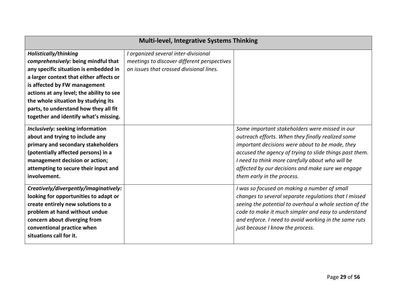| <b>Multi-level, Integrative Systems Thinking</b> |                                             |                                                         |  |  |  |
|--------------------------------------------------|---------------------------------------------|---------------------------------------------------------|--|--|--|
| Holistically/thinking                            | I organized several inter-divisional        |                                                         |  |  |  |
| comprehensively: being mindful that              | meetings to discover different perspectives |                                                         |  |  |  |
| any specific situation is embedded in            | on issues that crossed divisional lines.    |                                                         |  |  |  |
| a larger context that either affects or          |                                             |                                                         |  |  |  |
| is affected by FW management                     |                                             |                                                         |  |  |  |
| actions at any level; the ability to see         |                                             |                                                         |  |  |  |
| the whole situation by studying its              |                                             |                                                         |  |  |  |
| parts, to understand how they all fit            |                                             |                                                         |  |  |  |
| together and identify what's missing.            |                                             |                                                         |  |  |  |
| Inclusively: seeking information                 |                                             | Some important stakeholders were missed in our          |  |  |  |
| about and trying to include any                  |                                             | outreach efforts. When they finally realized some       |  |  |  |
| primary and secondary stakeholders               |                                             | important decisions were about to be made, they         |  |  |  |
| (potentially affected persons) in a              |                                             | accused the agency of trying to slide things past them. |  |  |  |
| management decision or action;                   |                                             | I need to think more carefully about who will be        |  |  |  |
| attempting to secure their input and             |                                             | affected by our decisions and make sure we engage       |  |  |  |
| involvement.                                     |                                             | them early in the process.                              |  |  |  |
| Creatively/divergently/imaginatively:            |                                             | I was so focused on making a number of small            |  |  |  |
| looking for opportunities to adapt or            |                                             | changes to several separate regulations that I missed   |  |  |  |
| create entirely new solutions to a               |                                             | seeing the potential to overhaul a whole section of the |  |  |  |
| problem at hand without undue                    |                                             | code to make it much simpler and easy to understand     |  |  |  |
| concern about diverging from                     |                                             | and enforce. I need to avoid working in the same ruts   |  |  |  |
| conventional practice when                       |                                             | just because I know the process.                        |  |  |  |
| situations call for it.                          |                                             |                                                         |  |  |  |
|                                                  |                                             |                                                         |  |  |  |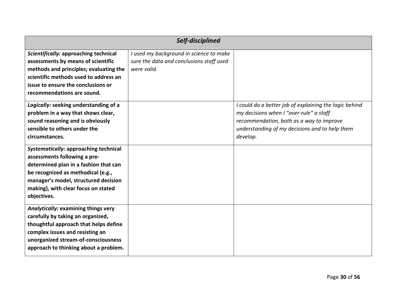| Self-disciplined                       |                                          |                                                        |  |  |
|----------------------------------------|------------------------------------------|--------------------------------------------------------|--|--|
| Scientifically: approaching technical  | I used my background in science to make  |                                                        |  |  |
| assessments by means of scientific     | sure the data and conclusions staff used |                                                        |  |  |
| methods and principles; evaluating the | were valid.                              |                                                        |  |  |
| scientific methods used to address an  |                                          |                                                        |  |  |
| issue to ensure the conclusions or     |                                          |                                                        |  |  |
| recommendations are sound.             |                                          |                                                        |  |  |
| Logically: seeking understanding of a  |                                          | I could do a better job of explaining the logic behind |  |  |
| problem in a way that shows clear,     |                                          | my decisions when I "over-rule" a staff                |  |  |
| sound reasoning and is obviously       |                                          | recommendation, both as a way to improve               |  |  |
| sensible to others under the           |                                          | understanding of my decisions and to help them         |  |  |
| circumstances.                         |                                          | develop.                                               |  |  |
| Systematically: approaching technical  |                                          |                                                        |  |  |
| assessments following a pre-           |                                          |                                                        |  |  |
| determined plan in a fashion that can  |                                          |                                                        |  |  |
| be recognized as methodical (e.g.,     |                                          |                                                        |  |  |
| manager's model, structured decision   |                                          |                                                        |  |  |
| making), with clear focus on stated    |                                          |                                                        |  |  |
| objectives.                            |                                          |                                                        |  |  |
| Analytically: examining things very    |                                          |                                                        |  |  |
| carefully by taking an organized,      |                                          |                                                        |  |  |
| thoughtful approach that helps define  |                                          |                                                        |  |  |
| complex issues and resisting an        |                                          |                                                        |  |  |
| unorganized stream-of-consciousness    |                                          |                                                        |  |  |
| approach to thinking about a problem.  |                                          |                                                        |  |  |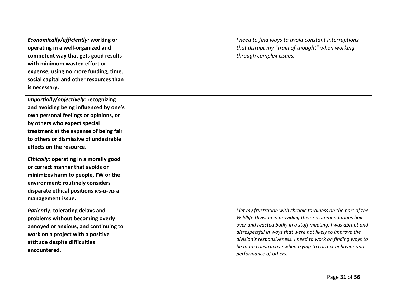| Economically/efficiently: working or<br>operating in a well-organized and<br>competent way that gets good results<br>with minimum wasted effort or<br>expense, using no more funding, time,<br>social capital and other resources than<br>is necessary.                 | I need to find ways to avoid constant interruptions<br>that disrupt my "train of thought" when working<br>through complex issues.                                                                                                                                                                                                                                                                             |
|-------------------------------------------------------------------------------------------------------------------------------------------------------------------------------------------------------------------------------------------------------------------------|---------------------------------------------------------------------------------------------------------------------------------------------------------------------------------------------------------------------------------------------------------------------------------------------------------------------------------------------------------------------------------------------------------------|
| Impartially/objectively: recognizing<br>and avoiding being influenced by one's<br>own personal feelings or opinions, or<br>by others who expect special<br>treatment at the expense of being fair<br>to others or dismissive of undesirable<br>effects on the resource. |                                                                                                                                                                                                                                                                                                                                                                                                               |
| Ethically: operating in a morally good<br>or correct manner that avoids or<br>minimizes harm to people, FW or the<br>environment; routinely considers<br>disparate ethical positions vis-a-vis a<br>management issue.                                                   |                                                                                                                                                                                                                                                                                                                                                                                                               |
| <b>Patiently: tolerating delays and</b><br>problems without becoming overly<br>annoyed or anxious, and continuing to<br>work on a project with a positive<br>attitude despite difficulties<br>encountered.                                                              | I let my frustration with chronic tardiness on the part of the<br>Wildlife Division in providing their recommendations boil<br>over and reacted badly in a staff meeting. I was abrupt and<br>disrespectful in ways that were not likely to improve the<br>division's responsiveness. I need to work on finding ways to<br>be more constructive when trying to correct behavior and<br>performance of others. |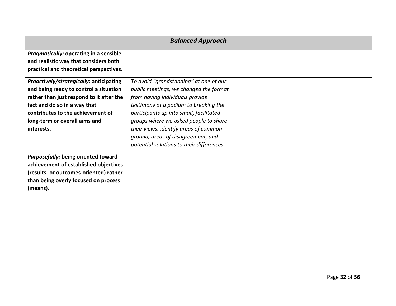| <b>Balanced Approach</b>                                                                                                                                                                                                                          |                                                                                                                                                                                                                                                                                                                                                                              |  |  |  |  |
|---------------------------------------------------------------------------------------------------------------------------------------------------------------------------------------------------------------------------------------------------|------------------------------------------------------------------------------------------------------------------------------------------------------------------------------------------------------------------------------------------------------------------------------------------------------------------------------------------------------------------------------|--|--|--|--|
| Pragmatically: operating in a sensible<br>and realistic way that considers both<br>practical and theoretical perspectives.                                                                                                                        |                                                                                                                                                                                                                                                                                                                                                                              |  |  |  |  |
| Proactively/strategically: anticipating<br>and being ready to control a situation<br>rather than just respond to it after the<br>fact and do so in a way that<br>contributes to the achievement of<br>long-term or overall aims and<br>interests. | To avoid "grandstanding" at one of our<br>public meetings, we changed the format<br>from having individuals provide<br>testimony at a podium to breaking the<br>participants up into small, facilitated<br>groups where we asked people to share<br>their views, identify areas of common<br>ground, areas of disagreement, and<br>potential solutions to their differences. |  |  |  |  |
| <b>Purposefully: being oriented toward</b><br>achievement of established objectives<br>(results- or outcomes-oriented) rather<br>than being overly focused on process<br>(means).                                                                 |                                                                                                                                                                                                                                                                                                                                                                              |  |  |  |  |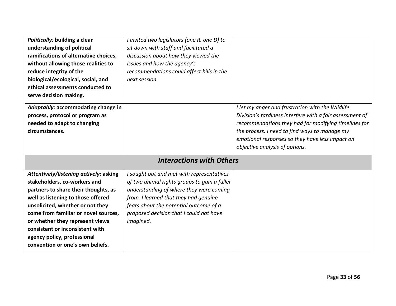| Politically: building a clear          | I invited two legislators (one R, one D) to  |                                                          |
|----------------------------------------|----------------------------------------------|----------------------------------------------------------|
| understanding of political             | sit down with staff and facilitated a        |                                                          |
| ramifications of alternative choices,  | discussion about how they viewed the         |                                                          |
| without allowing those realities to    | issues and how the agency's                  |                                                          |
| reduce integrity of the                | recommendations could affect bills in the    |                                                          |
| biological/ecological, social, and     | next session.                                |                                                          |
| ethical assessments conducted to       |                                              |                                                          |
| serve decision making.                 |                                              |                                                          |
| Adaptably: accommodating change in     |                                              | I let my anger and frustration with the Wildlife         |
| process, protocol or program as        |                                              | Division's tardiness interfere with a fair assessment of |
| needed to adapt to changing            |                                              | recommendations they had for modifying timelines for     |
| circumstances.                         |                                              | the process. I need to find ways to manage my            |
|                                        |                                              | emotional responses so they have less impact on          |
|                                        |                                              | objective analysis of options.                           |
|                                        | <b>Interactions with Others</b>              |                                                          |
| Attentively/listening actively: asking | I sought out and met with representatives    |                                                          |
| stakeholders, co-workers and           | of two animal rights groups to gain a fuller |                                                          |
| partners to share their thoughts, as   | understanding of where they were coming      |                                                          |
| well as listening to those offered     | from. I learned that they had genuine        |                                                          |
| unsolicited, whether or not they       | fears about the potential outcome of a       |                                                          |
| come from familiar or novel sources,   | proposed decision that I could not have      |                                                          |
| or whether they represent views        | imagined.                                    |                                                          |
| consistent or inconsistent with        |                                              |                                                          |
| agency policy, professional            |                                              |                                                          |
| convention or one's own beliefs.       |                                              |                                                          |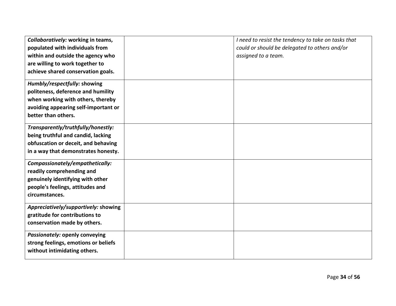| Collaboratively: working in teams,<br>populated with individuals from                                                                                                  | I need to resist the tendency to take on tasks that<br>could or should be delegated to others and/or |
|------------------------------------------------------------------------------------------------------------------------------------------------------------------------|------------------------------------------------------------------------------------------------------|
| within and outside the agency who<br>are willing to work together to                                                                                                   | assigned to a team.                                                                                  |
| achieve shared conservation goals.                                                                                                                                     |                                                                                                      |
| Humbly/respectfully: showing<br>politeness, deference and humility<br>when working with others, thereby<br>avoiding appearing self-important or<br>better than others. |                                                                                                      |
| Transparently/truthfully/honestly:<br>being truthful and candid, lacking<br>obfuscation or deceit, and behaving<br>in a way that demonstrates honesty.                 |                                                                                                      |
| Compassionately/empathetically:<br>readily comprehending and<br>genuinely identifying with other<br>people's feelings, attitudes and<br>circumstances.                 |                                                                                                      |
| Appreciatively/supportively: showing<br>gratitude for contributions to<br>conservation made by others.                                                                 |                                                                                                      |
| Passionately: openly conveying<br>strong feelings, emotions or beliefs<br>without intimidating others.                                                                 |                                                                                                      |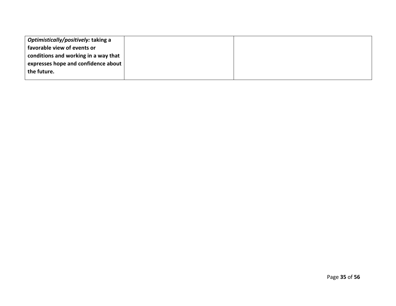| Optimistically/positively: taking a  |  |
|--------------------------------------|--|
| favorable view of events or          |  |
| conditions and working in a way that |  |
| expresses hope and confidence about  |  |
| the future.                          |  |
|                                      |  |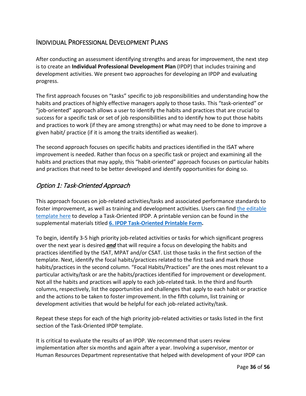## <span id="page-35-0"></span>INDIVIDUAL PROFESSIONAL DEVELOPMENT PLANS

After conducting an assessment identifying strengths and areas for improvement, the next step is to create an **Individual Professional Development Plan** (IPDP) that includes training and development activities. We present two approaches for developing an IPDP and evaluating progress.

The first approach focuses on "tasks" specific to job responsibilities and understanding how the habits and practices of highly effective managers apply to those tasks. This "task-oriented" or "job-oriented" approach allows a user to identify the habits and practices that are crucial to success for a specific task or set of job responsibilities and to identify how to put those habits and practices to work (if they are among strengths) or what may need to be done to improve a given habit/ practice (if it is among the traits identified as weaker).

The second approach focuses on specific habits and practices identified in the ISAT where improvement is needed. Rather than focus on a specific task or project and examining all the habits and practices that may apply, this "habit-oriented" approach focuses on particular habits and practices that need to be better developed and identify opportunities for doing so.

### <span id="page-35-1"></span>Option 1: Task-Oriented Approach

This approach focuses on job-related activities/tasks and associated performance standards to foster improvement, as well as training and development activities. Users can find the editable [template here](https://www.fishwildlife.org/download_file/view/2931/3039) to develop a Task-Oriented IPDP. A printable version can be found in the supplemental materials titled **6. [IPDP Task-Oriented Printable Form.](https://www.fishwildlife.org/download_file/view/2933/3039)**

To begin, identify 3-5 high priority job-related activities or tasks for which significant progress over the next year is desired *and* that will require a focus on developing the habits and practices identified by the ISAT, MPAT and/or CSAT. List those tasks in the first section of the template. Next, identify the focal habits/practices related to the first task and mark those habits/practices in the second column. "Focal Habits/Practices" are the ones most relevant to a particular activity/task or are the habits/practices identified for improvement or development. Not all the habits and practices will apply to each job-related task. In the third and fourth columns, respectively, list the opportunities and challenges that apply to each habit or practice and the actions to be taken to foster improvement. In the fifth column, list training or development activities that would be helpful for each job-related activity/task.

Repeat these steps for each of the high priority job-related activities or tasks listed in the first section of the Task-Oriented IPDP template.

It is critical to evaluate the results of an IPDP. We recommend that users review implementation after six months and again after a year. Involving a supervisor, mentor or Human Resources Department representative that helped with development of your IPDP can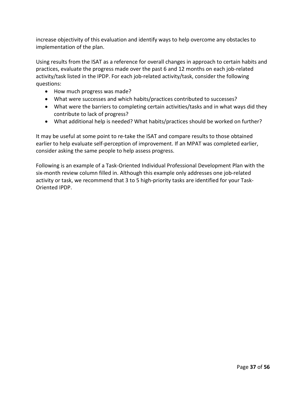increase objectivity of this evaluation and identify ways to help overcome any obstacles to implementation of the plan.

Using results from the ISAT as a reference for overall changes in approach to certain habits and practices, evaluate the progress made over the past 6 and 12 months on each job-related activity/task listed in the IPDP. For each job-related activity/task, consider the following questions:

- How much progress was made?
- What were successes and which habits/practices contributed to successes?
- What were the barriers to completing certain activities/tasks and in what ways did they contribute to lack of progress?
- What additional help is needed? What habits/practices should be worked on further?

It may be useful at some point to re-take the ISAT and compare results to those obtained earlier to help evaluate self-perception of improvement. If an MPAT was completed earlier, consider asking the same people to help assess progress.

Following is an example of a Task-Oriented Individual Professional Development Plan with the six-month review column filled in. Although this example only addresses one job-related activity or task, we recommend that 3 to 5 high-priority tasks are identified for your Task-Oriented IPDP.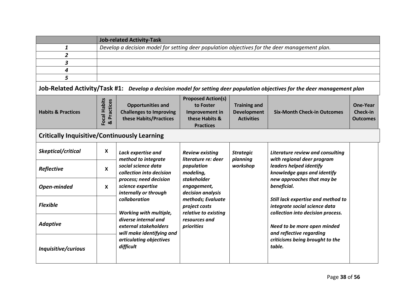|                                                     | <b>Job-related Activity-Task</b> |                                                                                                                                                                                                                                                                         |                                                                                                |                                                                |                                                                                                                                                                                                                 |                                                       |
|-----------------------------------------------------|----------------------------------|-------------------------------------------------------------------------------------------------------------------------------------------------------------------------------------------------------------------------------------------------------------------------|------------------------------------------------------------------------------------------------|----------------------------------------------------------------|-----------------------------------------------------------------------------------------------------------------------------------------------------------------------------------------------------------------|-------------------------------------------------------|
| 1                                                   |                                  | Develop a decision model for setting deer population objectives for the deer management plan.                                                                                                                                                                           |                                                                                                |                                                                |                                                                                                                                                                                                                 |                                                       |
| $\overline{2}$                                      |                                  |                                                                                                                                                                                                                                                                         |                                                                                                |                                                                |                                                                                                                                                                                                                 |                                                       |
| 3                                                   |                                  |                                                                                                                                                                                                                                                                         |                                                                                                |                                                                |                                                                                                                                                                                                                 |                                                       |
| 4                                                   |                                  |                                                                                                                                                                                                                                                                         |                                                                                                |                                                                |                                                                                                                                                                                                                 |                                                       |
| 5                                                   |                                  |                                                                                                                                                                                                                                                                         |                                                                                                |                                                                |                                                                                                                                                                                                                 |                                                       |
|                                                     |                                  |                                                                                                                                                                                                                                                                         |                                                                                                |                                                                | Job-Related Activity/Task #1: Develop a decision model for setting deer population objectives for the deer management plan                                                                                      |                                                       |
| <b>Habits &amp; Practices</b>                       | Focal Habits<br>& Practices      | <b>Opportunities and</b><br><b>Challenges to Improving</b><br>these Habits/Practices                                                                                                                                                                                    | <b>Proposed Action(s)</b><br>to Foster<br>Improvement in<br>these Habits &<br><b>Practices</b> | <b>Training and</b><br><b>Development</b><br><b>Activities</b> | <b>Six-Month Check-in Outcomes</b>                                                                                                                                                                              | <b>One-Year</b><br><b>Check-in</b><br><b>Outcomes</b> |
| <b>Critically Inquisitive/Continuously Learning</b> |                                  |                                                                                                                                                                                                                                                                         |                                                                                                |                                                                |                                                                                                                                                                                                                 |                                                       |
| Skeptical/critical                                  | $\boldsymbol{\mathsf{X}}$        | Lack expertise and                                                                                                                                                                                                                                                      | <b>Review existing</b><br>literature re: deer                                                  | <b>Strategic</b><br>planning                                   | Literature review and consulting<br>with regional deer program                                                                                                                                                  |                                                       |
| Reflective                                          | $\mathbf{x}$                     | method to integrate<br>social science data<br>collection into decision<br>process; need decision<br>science expertise<br>internally or through<br>collaboration<br>Working with multiple,<br>diverse internal and<br>external stakeholders<br>will make identifying and | population<br>modeling,<br>stakeholder<br>engagement,<br>decision analysis                     | workshop                                                       | leaders helped identify<br>knowledge gaps and identify<br>new approaches that may be<br>beneficial.<br>Still lack expertise and method to<br>integrate social science data<br>collection into decision process. |                                                       |
| Open-minded                                         | $\boldsymbol{\mathsf{X}}$        |                                                                                                                                                                                                                                                                         |                                                                                                |                                                                |                                                                                                                                                                                                                 |                                                       |
| <b>Flexible</b>                                     |                                  |                                                                                                                                                                                                                                                                         | methods; Evaluate<br>project costs<br>relative to existing                                     |                                                                |                                                                                                                                                                                                                 |                                                       |
| <b>Adaptive</b>                                     |                                  |                                                                                                                                                                                                                                                                         | resources and<br>priorities                                                                    |                                                                | Need to be more open minded<br>and reflective regarding                                                                                                                                                         |                                                       |
| Inquisitive/curious                                 |                                  | articulating objectives<br>difficult                                                                                                                                                                                                                                    |                                                                                                |                                                                | criticisms being brought to the<br>table.                                                                                                                                                                       |                                                       |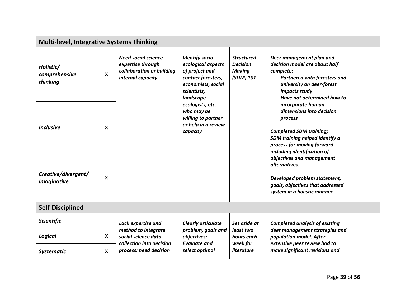|                                        | <b>Multi-level, Integrative Systems Thinking</b> |                                                                                                   |                                                                                                                                        |                                                                    |                                                                                                                                                                                                                       |  |
|----------------------------------------|--------------------------------------------------|---------------------------------------------------------------------------------------------------|----------------------------------------------------------------------------------------------------------------------------------------|--------------------------------------------------------------------|-----------------------------------------------------------------------------------------------------------------------------------------------------------------------------------------------------------------------|--|
| Holistic/<br>comprehensive<br>thinking | $\boldsymbol{\mathsf{x}}$                        | <b>Need social science</b><br>expertise through<br>collaboration or building<br>internal capacity | <b>Identify socio-</b><br>ecological aspects<br>of project and<br>contact foresters,<br>economists, social<br>scientists,<br>landscape | <b>Structured</b><br><b>Decision</b><br><b>Making</b><br>(SDM) 101 | Deer management plan and<br>decision model are about half<br>complete:<br><b>Partnered with foresters and</b><br>$\overline{\phantom{a}}$<br>university on deer-forest<br>impacts study<br>Have not determined how to |  |
| <b>Inclusive</b>                       | $\boldsymbol{x}$                                 |                                                                                                   | ecologists, etc.<br>who may be<br>willing to partner<br>or help in a review<br>capacity                                                |                                                                    | incorporate human<br>dimensions into decision<br>process<br><b>Completed SDM training;</b><br>SDM training helped identify a<br>process for moving forward<br>including identification of                             |  |
| Creative/divergent/<br>imaginative     | $\boldsymbol{\mathsf{x}}$                        |                                                                                                   |                                                                                                                                        |                                                                    | objectives and management<br>alternatives.<br>Developed problem statement,<br>goals, objectives that addressed<br>system in a holistic manner.                                                                        |  |
| <b>Self-Disciplined</b>                |                                                  |                                                                                                   |                                                                                                                                        |                                                                    |                                                                                                                                                                                                                       |  |
| Scientific                             |                                                  | Lack expertise and                                                                                | <b>Clearly articulate</b>                                                                                                              | Set aside at<br>least two<br>hours each<br>week for                | <b>Completed analysis of existing</b>                                                                                                                                                                                 |  |
| Logical                                | $\boldsymbol{\mathsf{X}}$                        | method to integrate<br>social science data<br>collection into decision                            | problem, goals and<br>objectives;<br><b>Evaluate and</b>                                                                               |                                                                    | deer management strategies and<br>population model. After<br>extensive peer review had to                                                                                                                             |  |
| <b>Systematic</b>                      | $\boldsymbol{x}$                                 | process; need decision                                                                            | select optimal                                                                                                                         | <i>literature</i>                                                  | make significant revisions and                                                                                                                                                                                        |  |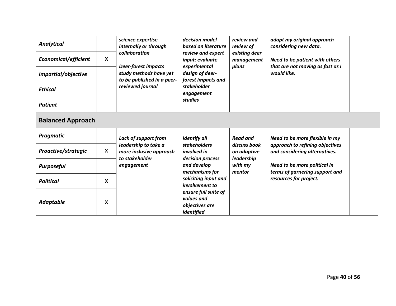| <b>Analytical</b><br><b>Economical/efficient</b><br>Impartial/objective<br><b>Ethical</b><br><b>Patient</b> | X                         | science expertise<br>internally or through<br>collaboration<br><b>Deer-forest impacts</b><br>study methods have yet<br>to be published in a peer-<br>reviewed journal | decision model<br>based on literature<br>review and expert<br>input; evaluate<br>experimental<br>design of deer-<br>forest impacts and<br>stakeholder<br>engagement<br>studies                                                               | review and<br>review of<br>existing deer<br>management<br>plans                   | adapt my original approach<br>considering new data.<br>Need to be patient with others<br>that are not moving as fast as I<br>would like.                                                       |  |  |
|-------------------------------------------------------------------------------------------------------------|---------------------------|-----------------------------------------------------------------------------------------------------------------------------------------------------------------------|----------------------------------------------------------------------------------------------------------------------------------------------------------------------------------------------------------------------------------------------|-----------------------------------------------------------------------------------|------------------------------------------------------------------------------------------------------------------------------------------------------------------------------------------------|--|--|
| <b>Balanced Approach</b>                                                                                    |                           |                                                                                                                                                                       |                                                                                                                                                                                                                                              |                                                                                   |                                                                                                                                                                                                |  |  |
| Pragmatic                                                                                                   |                           | <b>Lack of support from</b><br>leadership to take a<br>more inclusive approach<br>to stakeholder<br>engagement                                                        | <b>Identify all</b><br><b>stakeholders</b><br><i>involved in</i><br>decision process<br>and develop<br>mechanisms for<br>soliciting input and<br><i>involvement to</i><br>ensure full suite of<br>values and<br>objectives are<br>identified | <b>Read and</b><br>discuss book<br>on adaptive<br>leadership<br>with my<br>mentor | Need to be more flexible in my<br>approach to refining objectives<br>and considering alternatives.<br>Need to be more political in<br>terms of garnering support and<br>resources for project. |  |  |
| Proactive/strategic                                                                                         | $\boldsymbol{\mathsf{x}}$ |                                                                                                                                                                       |                                                                                                                                                                                                                                              |                                                                                   |                                                                                                                                                                                                |  |  |
| <b>Purposeful</b>                                                                                           |                           |                                                                                                                                                                       |                                                                                                                                                                                                                                              |                                                                                   |                                                                                                                                                                                                |  |  |
| <b>Political</b>                                                                                            | X                         |                                                                                                                                                                       |                                                                                                                                                                                                                                              |                                                                                   |                                                                                                                                                                                                |  |  |
| <b>Adaptable</b>                                                                                            | X                         |                                                                                                                                                                       |                                                                                                                                                                                                                                              |                                                                                   |                                                                                                                                                                                                |  |  |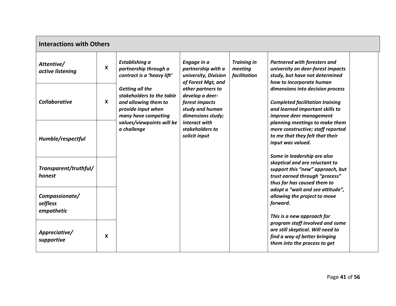| <b>Interactions with Others</b>          |   |                                                                                                                                                                                                   |                                                                                                                                                                                   |                                                                                                                                                                                         |                                                                                                                                                            |  |  |
|------------------------------------------|---|---------------------------------------------------------------------------------------------------------------------------------------------------------------------------------------------------|-----------------------------------------------------------------------------------------------------------------------------------------------------------------------------------|-----------------------------------------------------------------------------------------------------------------------------------------------------------------------------------------|------------------------------------------------------------------------------------------------------------------------------------------------------------|--|--|
| Attentive/<br>active listening           | X | Establishing a<br>partnership through a<br>contract is a 'heavy lift'<br><b>Getting all the</b><br>stakeholders to the table<br>and allowing them to<br>provide input when<br>many have competing | Engage in a<br>partnership with a<br>university, Division<br>of Forest Mgt, and<br>other partners to<br>develop a deer-<br>forest impacts<br>study and human<br>dimensions study; | <b>Training in</b><br><b>Partnered with foresters and</b><br>meeting<br>university on deer-forest impacts<br>facilitation<br>study, but have not determined<br>how to incorporate human |                                                                                                                                                            |  |  |
| <b>Collaborative</b>                     | X |                                                                                                                                                                                                   |                                                                                                                                                                                   |                                                                                                                                                                                         | dimensions into decision process<br><b>Completed facilitation training</b><br>and learned important skills to<br>improve deer management                   |  |  |
| Humble/respectful                        |   | values/viewpoints will be<br>a challenge                                                                                                                                                          | interact with<br>stakeholders to<br>solicit input                                                                                                                                 |                                                                                                                                                                                         | planning meetings to make them<br>more constructive; staff reported<br>to me that they felt that their<br>input was valued.<br>Some in leadership are also |  |  |
| Transparent/truthful/<br>honest          |   |                                                                                                                                                                                                   |                                                                                                                                                                                   |                                                                                                                                                                                         | skeptical and are reluctant to<br>support this "new" approach, but<br>trust earned through "process"<br>thus far has caused them to                        |  |  |
| Compassionate/<br>selfless<br>empathetic |   |                                                                                                                                                                                                   |                                                                                                                                                                                   |                                                                                                                                                                                         | adopt a "wait and see attitude",<br>allowing the project to move<br>forward.<br>This is a new approach for                                                 |  |  |
| Appreciative/<br>supportive              | X |                                                                                                                                                                                                   |                                                                                                                                                                                   |                                                                                                                                                                                         | program staff involved and some<br>are still skeptical. Will need to<br>find a way of better bringing<br>them into the process to get                      |  |  |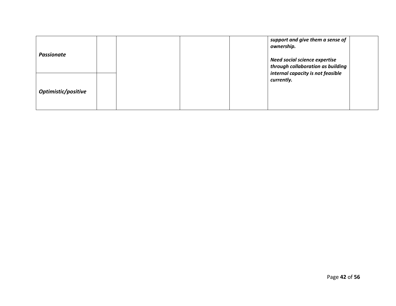| <b>Passionate</b>   |  |  | support and give them a sense of<br>ownership.                                                                 |  |
|---------------------|--|--|----------------------------------------------------------------------------------------------------------------|--|
|                     |  |  | <b>Need social science expertise</b><br>through collaboration as building<br>internal capacity is not feasible |  |
| Optimistic/positive |  |  | currently.                                                                                                     |  |
|                     |  |  |                                                                                                                |  |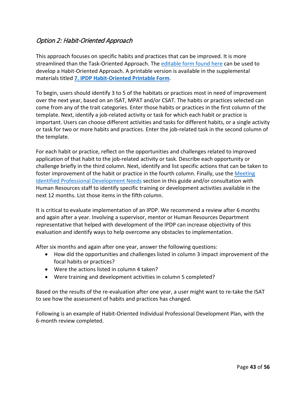## <span id="page-42-0"></span>Option 2: Habit-Oriented Approach

This approach focuses on specific habits and practices that can be improved. It is more streamlined than the Task-Oriented Approach. The editable [form found here](https://www.fishwildlife.org/download_file/view/2934/3039) can be used to develop a Habit-Oriented Approach. A printable version is available in the supplemental materials titled **7. [IPDP Habit-Oriented Printable Form](https://www.fishwildlife.org/download_file/view/2935/3039)**.

To begin, users should identify 3 to 5 of the habitats or practices most in need of improvement over the next year, based on an ISAT, MPAT and/or CSAT. The habits or practices selected can come from any of the trait categories. Enter those habits or practices in the first column of the template. Next, identify a job-related activity or task for which each habit or practice is important. Users can choose different activities and tasks for different habits, or a single activity or task for two or more habits and practices. Enter the job-related task in the second column of the template.

For each habit or practice, reflect on the opportunities and challenges related to improved application of that habit to the job-related activity or task. Describe each opportunity or challenge briefly in the third column. Next, identify and list specific actions that can be taken to foster improvement of the habit or practice in the fourth column. Finally, use the [Meeting](#page-45-0) [Identified Professional Development Needs](#page-45-0) section in this guide and/or consultation with Human Resources staff to identify specific training or development activities available in the next 12 months. List those items in the fifth column.

It is critical to evaluate implementation of an IPDP. We recommend a review after 6 months and again after a year. Involving a supervisor, mentor or Human Resources Department representative that helped with development of the IPDP can increase objectivity of this evaluation and identify ways to help overcome any obstacles to implementation.

After six months and again after one year, answer the following questions:

- How did the opportunities and challenges listed in column 3 impact improvement of the focal habits or practices?
- Were the actions listed in column 4 taken?
- Were training and development activities in column 5 completed?

Based on the results of the re-evaluation after one year, a user might want to re-take the ISAT to see how the assessment of habits and practices has changed.

Following is an example of Habit-Oriented Individual Professional Development Plan, with the 6-month review completed.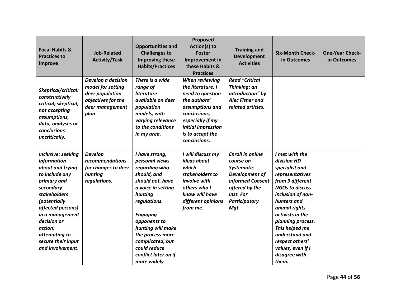| <b>Focal Habits &amp;</b><br><b>Practices to</b><br>Improve                                                                                                                                                                                                                    | <b>Job-Related</b><br><b>Activity/Task</b>                                                                  | <b>Opportunities and</b><br><b>Challenges to</b><br><b>Improving these</b><br><b>Habits/Practices</b>                                                                                                                                                                                        | Proposed<br>Action(s) to<br><b>Foster</b><br>Improvement in<br>these Habits &<br><b>Practices</b>                                                                                        | <b>Training and</b><br><b>Development</b><br><b>Activities</b>                                                                                                        | <b>Six-Month Check-</b><br>in Outcomes                                                                                                                                                                                                                                                                               | <b>One-Year Check-</b><br>in Outcomes |
|--------------------------------------------------------------------------------------------------------------------------------------------------------------------------------------------------------------------------------------------------------------------------------|-------------------------------------------------------------------------------------------------------------|----------------------------------------------------------------------------------------------------------------------------------------------------------------------------------------------------------------------------------------------------------------------------------------------|------------------------------------------------------------------------------------------------------------------------------------------------------------------------------------------|-----------------------------------------------------------------------------------------------------------------------------------------------------------------------|----------------------------------------------------------------------------------------------------------------------------------------------------------------------------------------------------------------------------------------------------------------------------------------------------------------------|---------------------------------------|
| Skeptical/critical:<br>constructively<br>critical; skeptical;<br>not accepting<br>assumptions,<br>data, analyses or<br>conclusions<br>uncritically.                                                                                                                            | Develop a decision<br>model for setting<br>deer population<br>objectives for the<br>deer management<br>plan | There is a wide<br>range of<br>literature<br>available on deer<br>population<br>models, with<br>varying relevance<br>to the conditions<br>in my area.                                                                                                                                        | When reviewing<br>the literature, I<br>need to question<br>the authors'<br>assumptions and<br>conclusions,<br>especially if my<br>initial impression<br>is to accept the<br>conclusions. | <b>Read "Critical</b><br>Thinking: an<br>introduction" by<br><b>Alec Fisher and</b><br>related articles.                                                              |                                                                                                                                                                                                                                                                                                                      |                                       |
| Inclusive: seeking<br>information<br>about and trying<br>to include any<br>primary and<br>secondary<br><b>stakeholders</b><br><i>(potentially</i><br>affected persons)<br>in a management<br>decision or<br>action;<br>attempting to<br>secure their input<br>and involvement. | <b>Develop</b><br>recommendations<br>for changes to deer<br>hunting<br>regulations.                         | I have strong,<br>personal views<br>regarding who<br>should, and<br>should not, have<br>a voice in setting<br>hunting<br>regulations.<br><b>Engaging</b><br>opponents to<br>hunting will make<br>the process more<br>complicated, but<br>could reduce<br>conflict later on if<br>more widely | I will discuss my<br>ideas about<br>which<br>stakeholders to<br>involve with<br>others who I<br>know will have<br>different opinions<br>from me.                                         | <b>Enroll in online</b><br>course on<br><b>Systematic</b><br>Development of<br><b>Informed Consent</b><br>offered by the<br>Inst. For<br><b>Participatory</b><br>Mgt. | I met with the<br>division HD<br>specialist and<br>representatives<br>from 3 different<br><b>NGOs to discuss</b><br>inclusion of non-<br>hunters and<br>animal rights<br>activists in the<br>planning process.<br>This helped me<br>understand and<br>respect others'<br>values, even if I<br>disagree with<br>them. |                                       |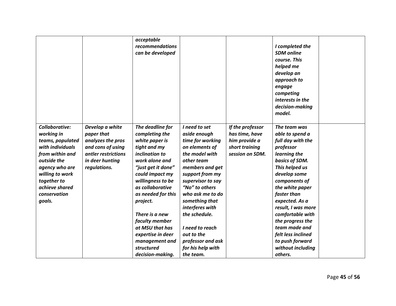|                                                                                                                                                                                                        |                                                                                                                                   | acceptable<br>recommendations<br>can be developed                                                                                                                                                                                                                                                                                               |                                                                                                                                                                                                                                                                                                                                       |                                                                                          | I completed the<br><b>SDM</b> online<br>course. This<br>helped me<br>develop an<br>approach to<br>engage<br>competing<br>interests in the<br>decision-making<br>model.                                                                                                                                                                                  |  |
|--------------------------------------------------------------------------------------------------------------------------------------------------------------------------------------------------------|-----------------------------------------------------------------------------------------------------------------------------------|-------------------------------------------------------------------------------------------------------------------------------------------------------------------------------------------------------------------------------------------------------------------------------------------------------------------------------------------------|---------------------------------------------------------------------------------------------------------------------------------------------------------------------------------------------------------------------------------------------------------------------------------------------------------------------------------------|------------------------------------------------------------------------------------------|---------------------------------------------------------------------------------------------------------------------------------------------------------------------------------------------------------------------------------------------------------------------------------------------------------------------------------------------------------|--|
| Collaborative:<br>working in<br>teams, populated<br>with individuals<br>from within and<br>outside the<br>agency who are<br>willing to work<br>together to<br>achieve shared<br>conservation<br>goals. | Develop a white<br>paper that<br>analyzes the pros<br>and cons of using<br>antler restrictions<br>in deer hunting<br>regulations. | The deadline for<br>completing the<br>white paper is<br>tight and my<br><i>inclination to</i><br>work alone and<br>"just get it done"<br>could impact my<br>willingness to be<br>as collaborative<br>as needed for this<br>project.<br>There is a new<br>faculty member<br>at MSU that has<br>expertise in deer<br>management and<br>structured | I need to set<br>aside enough<br>time for working<br>on elements of<br>the model with<br>other team<br>members and get<br>support from my<br>supervisor to say<br>"No" to others<br>who ask me to do<br>something that<br>interferes with<br>the schedule.<br>I need to reach<br>out to the<br>professor and ask<br>for his help with | If the professor<br>has time, have<br>him provide a<br>short training<br>session on SDM. | The team was<br>able to spend a<br>full day with the<br>professor<br>learning the<br>basics of SDM.<br>This helped us<br>develop some<br>components of<br>the white paper<br>faster than<br>expected. As a<br>result, I was more<br>comfortable with<br>the progress the<br>team made and<br>felt less inclined<br>to push forward<br>without including |  |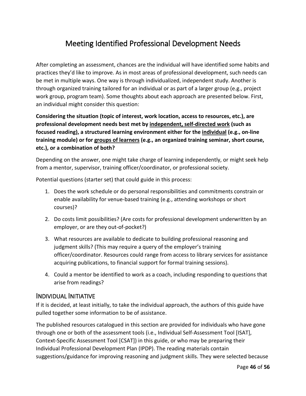# Meeting Identified Professional Development Needs

<span id="page-45-0"></span>After completing an assessment, chances are the individual will have identified some habits and practices they'd like to improve. As in most areas of professional development, such needs can be met in multiple ways. One way is through individualized, independent study. Another is through organized training tailored for an individual or as part of a larger group (e.g., project work group, program team). Some thoughts about each approach are presented below. First, an individual might consider this question:

**Considering the situation (topic of interest, work location, access to resources, etc.), are professional development needs best met by independent, self-directed work (such as focused reading), a structured learning environment either for the individual (e.g., on-line training module) or for groups of learners (e.g., an organized training seminar, short course, etc.), or a combination of both?**

Depending on the answer, one might take charge of learning independently, or might seek help from a mentor, supervisor, training officer/coordinator, or professional society.

Potential questions (starter set) that could guide in this process:

- 1. Does the work schedule or do personal responsibilities and commitments constrain or enable availability for venue-based training (e.g., attending workshops or short courses)?
- 2. Do costs limit possibilities? (Are costs for professional development underwritten by an employer, or are they out-of-pocket?)
- 3. What resources are available to dedicate to building professional reasoning and judgment skills? (This may require a query of the employer's training officer/coordinator. Resources could range from access to library services for assistance acquiring publications, to financial support for formal training sessions).
- 4. Could a mentor be identified to work as a coach, including responding to questions that arise from readings?

#### <span id="page-45-1"></span>INDIVIDUAL INITIATIVE

If it is decided, at least initially, to take the individual approach, the authors of this guide have pulled together some information to be of assistance.

The published resources catalogued in this section are provided for individuals who have gone through one or both of the assessment tools (i.e., Individual Self-Assessment Tool [ISAT], Context-Specific Assessment Tool [CSAT]) in this guide, or who may be preparing their Individual Professional Development Plan (IPDP). The reading materials contain suggestions/guidance for improving reasoning and judgment skills. They were selected because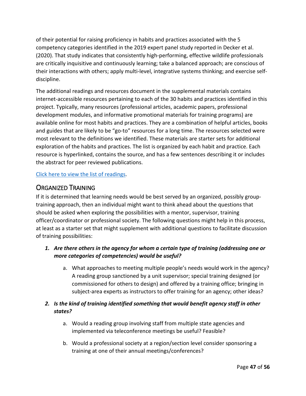of their potential for raising proficiency in habits and practices associated with the 5 competency categories identified in the 2019 expert panel study reported in Decker et al. (2020). That study indicates that consistently high-performing, effective wildlife professionals are critically inquisitive and continuously learning; take a balanced approach; are conscious of their interactions with others; apply multi-level, integrative systems thinking; and exercise selfdiscipline.

The additional readings and resources document in the supplemental materials contains internet-accessible resources pertaining to each of the 30 habits and practices identified in this project. Typically, many resources (professional articles, academic papers, professional development modules, and informative promotional materials for training programs) are available online for most habits and practices. They are a combination of helpful articles, books and guides that are likely to be "go-to" resources for a long time. The resources selected were most relevant to the definitions we identified. These materials are starter sets for additional exploration of the habits and practices. The list is organized by each habit and practice. Each resource is hyperlinked, contains the source, and has a few sentences describing it or includes the abstract for peer reviewed publications.

[Click here to view the list of readings.](https://www.fishwildlife.org/download_file/view/2964/3039)

## <span id="page-46-0"></span>ORGANIZED TRAINING

If it is determined that learning needs would be best served by an organized, possibly grouptraining approach, then an individual might want to think ahead about the questions that should be asked when exploring the possibilities with a mentor, supervisor, training officer/coordinator or professional society. The following questions might help in this process, at least as a starter set that might supplement with additional questions to facilitate discussion of training possibilities:

#### *1. Are there others in the agency for whom a certain type of training (addressing one or more categories of competencies) would be useful?*

a. What approaches to meeting multiple people's needs would work in the agency? A reading group sanctioned by a unit supervisor; special training designed (or commissioned for others to design) and offered by a training office; bringing in subject-area experts as instructors to offer training for an agency; other ideas?

#### *2. Is the kind of training identified something that would benefit agency staff in other states?*

- a. Would a reading group involving staff from multiple state agencies and implemented via teleconference meetings be useful? Feasible?
- b. Would a professional society at a region/section level consider sponsoring a training at one of their annual meetings/conferences?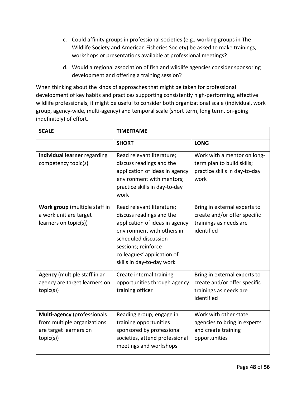- c. Could affinity groups in professional societies (e.g., working groups in The Wildlife Society and American Fisheries Society) be asked to make trainings, workshops or presentations available at professional meetings?
- d. Would a regional association of fish and wildlife agencies consider sponsoring development and offering a training session?

When thinking about the kinds of approaches that might be taken for professional development of key habits and practices supporting consistently high-performing, effective wildlife professionals, it might be useful to consider both organizational scale (individual, work group, agency-wide, multi-agency) and temporal scale (short term, long term, on-going indefinitely) of effort.

| <b>SCALE</b>                                                                                      | <b>TIMEFRAME</b>                                                                                                                                                                                                                |                                                                                                      |  |
|---------------------------------------------------------------------------------------------------|---------------------------------------------------------------------------------------------------------------------------------------------------------------------------------------------------------------------------------|------------------------------------------------------------------------------------------------------|--|
|                                                                                                   | <b>SHORT</b>                                                                                                                                                                                                                    | <b>LONG</b>                                                                                          |  |
| Individual learner regarding<br>competency topic(s)                                               | Read relevant literature;<br>discuss readings and the<br>application of ideas in agency<br>environment with mentors;<br>practice skills in day-to-day<br>work                                                                   | Work with a mentor on long-<br>term plan to build skills;<br>practice skills in day-to-day<br>work   |  |
| Work group (multiple staff in<br>a work unit are target<br>learners on topic(s))                  | Read relevant literature;<br>discuss readings and the<br>application of ideas in agency<br>environment with others in<br>scheduled discussion<br>sessions; reinforce<br>colleagues' application of<br>skills in day-to-day work | Bring in external experts to<br>create and/or offer specific<br>trainings as needs are<br>identified |  |
| Agency (multiple staff in an<br>agency are target learners on<br>topic(s))                        | Create internal training<br>opportunities through agency<br>training officer                                                                                                                                                    | Bring in external experts to<br>create and/or offer specific<br>trainings as needs are<br>identified |  |
| Multi-agency (professionals<br>from multiple organizations<br>are target learners on<br>topic(s)) | Reading group; engage in<br>training opportunities<br>sponsored by professional<br>societies, attend professional<br>meetings and workshops                                                                                     | Work with other state<br>agencies to bring in experts<br>and create training<br>opportunities        |  |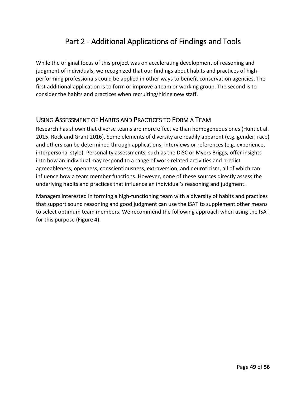# Part 2 - Additional Applications of Findings and Tools

<span id="page-48-0"></span>While the original focus of this project was on accelerating development of reasoning and judgment of individuals, we recognized that our findings about habits and practices of highperforming professionals could be applied in other ways to benefit conservation agencies. The first additional application is to form or improve a team or working group. The second is to consider the habits and practices when recruiting/hiring new staff.

## <span id="page-48-1"></span>USING ASSESSMENT OF HABITS AND PRACTICES TO FORM A TEAM

Research has shown that diverse teams are more effective than homogeneous ones (Hunt et al. 2015, Rock and Grant 2016). Some elements of diversity are readily apparent (e.g. gender, race) and others can be determined through applications, interviews or references (e.g. experience, interpersonal style). Personality assessments, such as the DiSC or Myers Briggs, offer insights into how an individual may respond to a range of work-related activities and predict agreeableness, openness, conscientiousness, extraversion, and neuroticism, all of which can influence how a team member functions. However, none of these sources directly assess the underlying habits and practices that influence an individual's reasoning and judgment.

Managers interested in forming a high-functioning team with a diversity of habits and practices that support sound reasoning and good judgment can use the ISAT to supplement other means to select optimum team members. We recommend the following approach when using the ISAT for this purpose (Figure 4).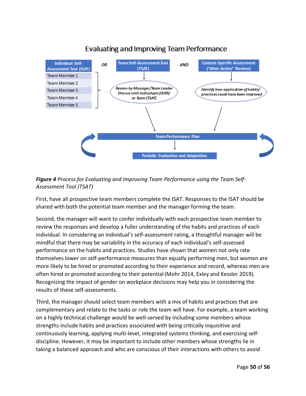

# **Evaluating and Improving Team Performance**

#### *Figure 4 Process for Evaluating and Improving Team Performance using the Team Self-Assessment Tool (TSAT)*

First, have all prospective team members complete the ISAT. Responses to the ISAT should be shared with both the potential team member and the manager forming the team.

Second, the manager will want to confer individually with each prospective team member to review the responses and develop a fuller understanding of the habits and practices of each individual. In considering an individual's self-assessment rating, a thoughtful manager will be mindful that there may be variability in the accuracy of each individual's self-assessed performance on the habits and practices. Studies have shown that women not only rate themselves lower on self-performance measures than equally performing men, but women are more likely to be hired or promoted according to their experience and record, whereas men are often hired or promoted according to their potential(Mohr 2014, Exley and Kessler 2019). Recognizing the impact of gender on workplace decisions may help you in considering the results of these self-assessments.

Third, the manager should select team members with a mix of habits and practices that are complementary and relate to the tasks or role the team will have. For example, a team working on a highly technical challenge would be well-served by including some members whose strengths include habits and practices associated with being critically inquisitive and continuously learning, applying multi-level, integrated systems thinking, and exercising selfdiscipline. However, it may be important to include other members whose strengths lie in taking a balanced approach and who are conscious of their interactions with others to avoid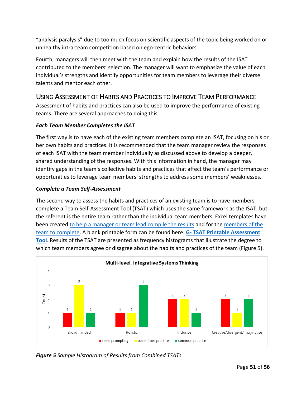"analysis paralysis" due to too much focus on scientific aspects of the topic being worked on or unhealthy intra-team competition based on ego-centric behaviors.

Fourth, managers will then meet with the team and explain how the results of the ISAT contributed to the members' selection. The manager will want to emphasize the value of each individual's strengths and identify opportunities for team members to leverage their diverse talents and mentor each other.

## <span id="page-50-0"></span>USING ASSESSMENT OF HABITS AND PRACTICES TO IMPROVE TEAM PERFORMANCE

Assessment of habits and practices can also be used to improve the performance of existing teams. There are several approaches to doing this.

#### *Each Team Member Completes the ISAT*

The first way is to have each of the existing team members complete an ISAT, focusing on his or her own habits and practices. It is recommended that the team manager review the responses of each ISAT with the team member individually as discussed above to develop a deeper, shared understanding of the responses. With this information in hand, the manager may identify gaps in the team's collective habits and practices that affect the team's performance or opportunities to leverage team members' strengths to address some members' weaknesses.

#### *Complete a Team Self-Assessment*

The second way to assess the habits and practices of an existing team is to have members complete a Team Self-Assessment Tool (TSAT) which uses the same framework as the ISAT, but the referent is the entire team rather than the individual team members. Excel templates have been created to help a manager or team lead [compile the results](https://www.fishwildlife.org/download_file/view/2940/3039) and for the [members of the](https://www.fishwildlife.org/download_file/view/2941/3039)  [team to complete.](https://www.fishwildlife.org/download_file/view/2941/3039) A blank printable form can be found here: **G- [TSAT Printable Assessment](https://www.fishwildlife.org/download_file/view/2936/3039)  [Tool](https://www.fishwildlife.org/download_file/view/2936/3039)**. Results of the TSAT are presented as frequency histograms that illustrate the degree to which team members agree or disagree about the habits and practices of the team (Figure 5).



*Figure 5 Sample Histogram of Results from Combined TSATs*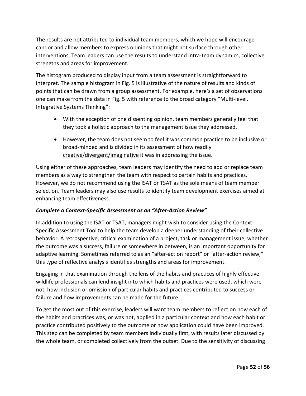The results are not attributed to individual team members, which we hope will encourage candor and allow members to express opinions that might not surface through other interventions. Team leaders can use the results to understand intra-team dynamics, collective strengths and areas for improvement.

The histogram produced to display input from a team assessment is straightforward to interpret. The sample histogram in Fig. 5 is illustrative of the nature of results and kinds of points that can be drawn from a group assessment. For example, here's a set of observations one can make from the data in Fig. 5 with reference to the broad category "Multi-level, Integrative Systems Thinking":

- With the exception of one dissenting opinion, team members generally feel that they took a **holistic** approach to the management issue they addressed.
- However, the team does not seem to feel it was common practice to be *inclusive* or broad-minded and is divided in its assessment of how readily creative/divergent/imaginative it was in addressing the issue.

Using either of these approaches, team leaders may identify the need to add or replace team members as a way to strengthen the team with respect to certain habits and practices. However, we do not recommend using the ISAT or TSAT as the sole means of team member selection. Team leaders may also use results to identify team development exercises aimed at enhancing team effectiveness.

#### *Complete a Context-Specific Assessment as an "After-Action Review"*

In addition to using the ISAT or TSAT, managers might wish to consider using the Context-Specific Assessment Tool to help the team develop a deeper understanding of their collective behavior. A retrospective, critical examination of a project, task or management issue, whether the outcome was a success, failure or somewhere in between, is an important opportunity for adaptive learning. Sometimes referred to as an "after-action report" or "after-action review," this type of reflective analysis identifies strengths and areas for improvement.

Engaging in that examination through the lens of the habits and practices of highly effective wildlife professionals can lend insight into which habits and practices were used, which were not, how inclusion or omission of particular habits and practices contributed to success or failure and how improvements can be made for the future.

To get the most out of this exercise, leaders will want team members to reflect on how each of the habits and practices was, or was not, applied in a particular context and how each habit or practice contributed positively to the outcome or how application could have been improved. This step can be completed by team members individually first, with results later discussed by the whole team, or completed collectively from the outset. Due to the sensitivity of discussing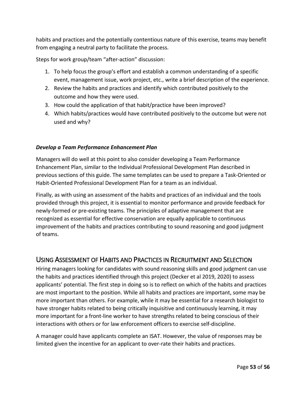habits and practices and the potentially contentious nature of this exercise, teams may benefit from engaging a neutral party to facilitate the process.

Steps for work group/team "after-action" discussion:

- 1. To help focus the group's effort and establish a common understanding of a specific event, management issue, work project, etc., write a brief description of the experience.
- 2. Review the habits and practices and identify which contributed positively to the outcome and how they were used.
- 3. How could the application of that habit/practice have been improved?
- 4. Which habits/practices would have contributed positively to the outcome but were not used and why?

#### *Develop a Team Performance Enhancement Plan*

Managers will do well at this point to also consider developing a Team Performance Enhancement Plan, similar to the Individual Professional Development Plan described in previous sections of this guide. The same templates can be used to prepare a Task-Oriented or Habit-Oriented Professional Development Plan for a team as an individual.

Finally, as with using an assessment of the habits and practices of an individual and the tools provided through this project, it is essential to monitor performance and provide feedback for newly-formed or pre-existing teams. The principles of adaptive management that are recognized as essential for effective conservation are equally applicable to continuous improvement of the habits and practices contributing to sound reasoning and good judgment of teams.

## <span id="page-52-0"></span>USING ASSESSMENT OF HABITS AND PRACTICES IN RECRUITMENT AND SELECTION

Hiring managers looking for candidates with sound reasoning skills and good judgment can use the habits and practices identified through this project (Decker et al 2019, 2020) to assess applicants' potential. The first step in doing so is to reflect on which of the habits and practices are most important to the position. While all habits and practices are important, some may be more important than others. For example, while it may be essential for a research biologist to have stronger habits related to being critically inquisitive and continuously learning, it may more important for a front-line worker to have strengths related to being conscious of their interactions with others or for law enforcement officers to exercise self-discipline.

A manager could have applicants complete an ISAT. However, the value of responses may be limited given the incentive for an applicant to over-rate their habits and practices.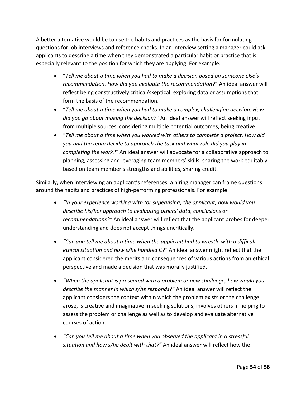A better alternative would be to use the habits and practices as the basis for formulating questions for job interviews and reference checks. In an interview setting a manager could ask applicants to describe a time when they demonstrated a particular habit or practice that is especially relevant to the position for which they are applying. For example:

- "*Tell me about a time when you had to make a decision based on someone else's recommendation. How did you evaluate the recommendation?*" An ideal answer will reflect being constructively critical/skeptical, exploring data or assumptions that form the basis of the recommendation.
- "*Tell me about a time when you had to make a complex, challenging decision. How did you go about making the decision?*" An ideal answer will reflect seeking input from multiple sources, considering multiple potential outcomes, being creative.
- "*Tell me about a time when you worked with others to complete a project. How did you and the team decide to approach the task and what role did you play in completing the work?*" An ideal answer will advocate for a collaborative approach to planning, assessing and leveraging team members' skills, sharing the work equitably based on team member's strengths and abilities, sharing credit.

Similarly, when interviewing an applicant's references, a hiring manager can frame questions around the habits and practices of high-performing professionals. For example:

- *"In your experience working with (or supervising) the applicant, how would you describe his/her approach to evaluating others' data, conclusions or recommendations?"* An ideal answer will reflect that the applicant probes for deeper understanding and does not accept things uncritically.
- *"Can you tell me about a time when the applicant had to wrestle with a difficult ethical situation and how s/he handled it?"* An ideal answer might reflect that the applicant considered the merits and consequences of various actions from an ethical perspective and made a decision that was morally justified.
- *"When the applicant is presented with a problem or new challenge, how would you describe the manner in which s/he responds?"* An ideal answer will reflect the applicant considers the context within which the problem exists or the challenge arose, is creative and imaginative in seeking solutions, involves others in helping to assess the problem or challenge as well as to develop and evaluate alternative courses of action.
- *"Can you tell me about a time when you observed the applicant in a stressful situation and how s/he dealt with that?"* An ideal answer will reflect how the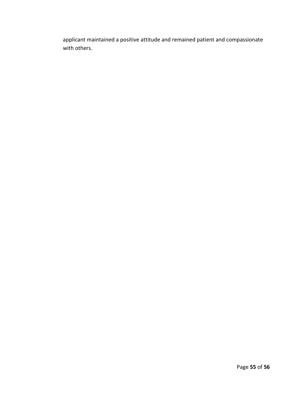applicant maintained a positive attitude and remained patient and compassionate with others.